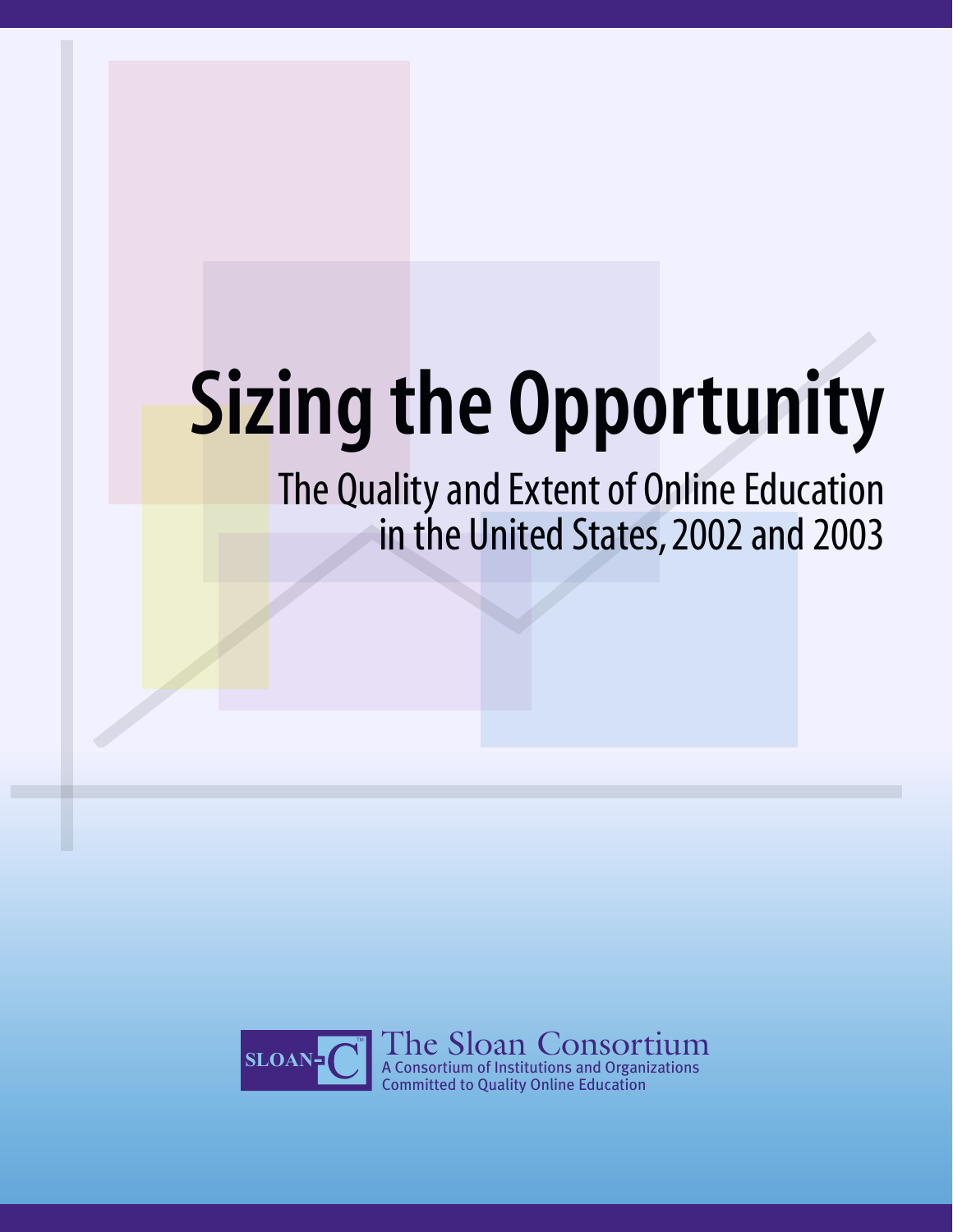# Sizing the Opportunity

The Quality and Extent of Online Education in the United States, 2002 and 2003

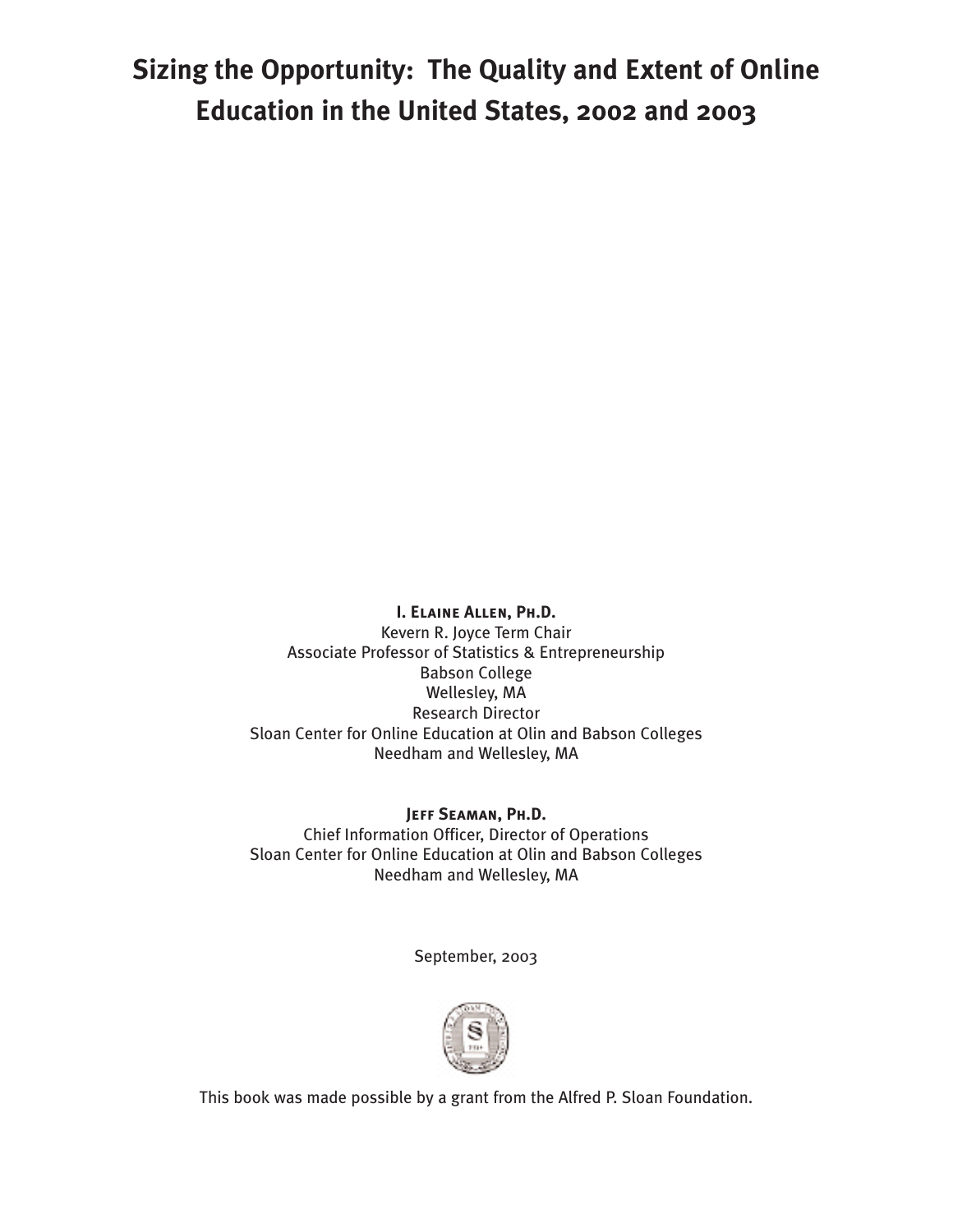# **Sizing the Opportunity: The Quality and Extent of Online Education in the United States, 2002 and 2003**

**I. Elaine Allen, Ph.D.**

Kevern R. Joyce Term Chair Associate Professor of Statistics & Entrepreneurship Babson College Wellesley, MA Research Director Sloan Center for Online Education at Olin and Babson Colleges Needham and Wellesley, MA

**Jeff Seaman, Ph.D.** Chief Information Officer, Director of Operations Sloan Center for Online Education at Olin and Babson Colleges Needham and Wellesley, MA

September, 2003



This book was made possible by a grant from the Alfred P. Sloan Foundation.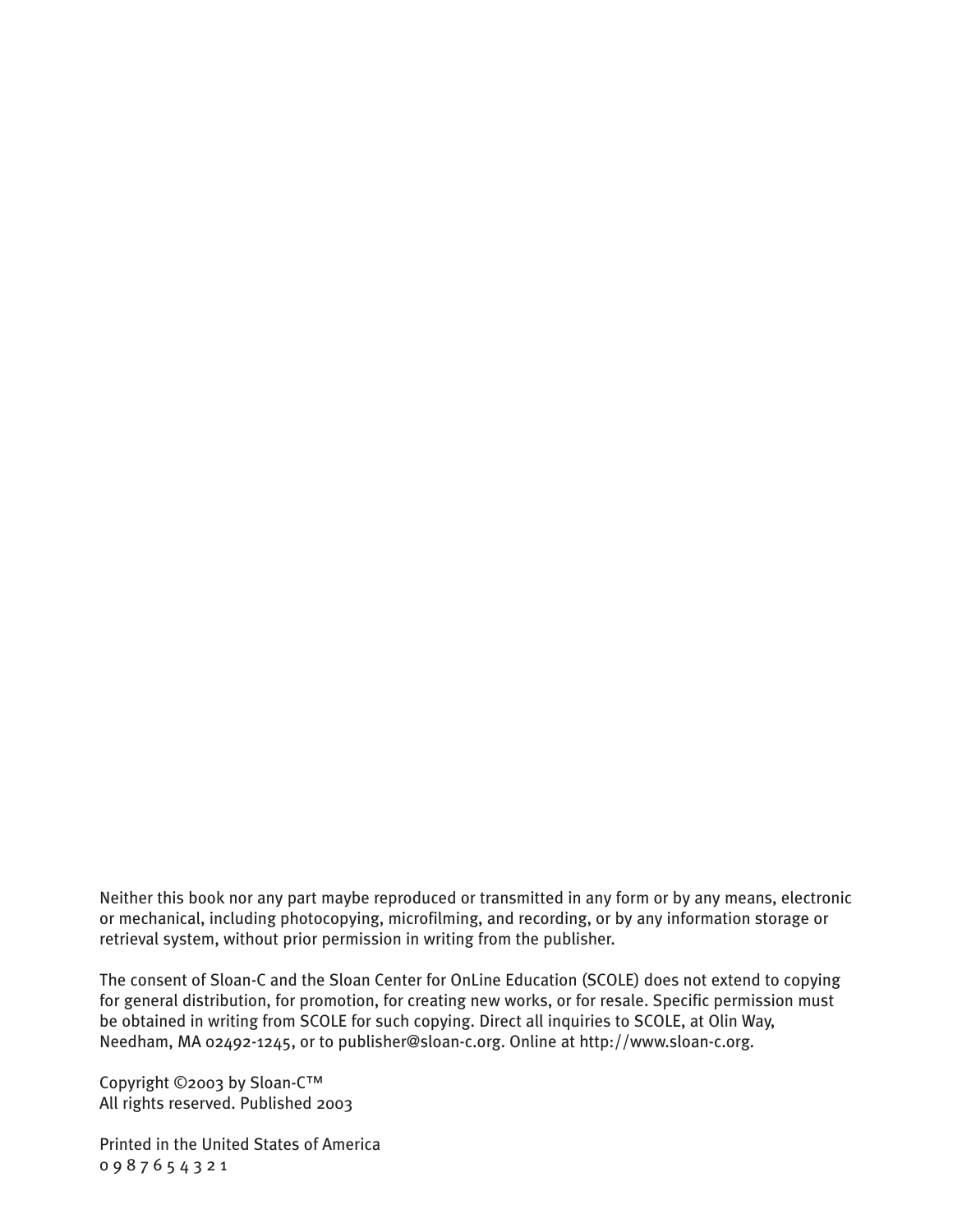Neither this book nor any part maybe reproduced or transmitted in any form or by any means, electronic or mechanical, including photocopying, microfilming, and recording, or by any information storage or retrieval system, without prior permission in writing from the publisher.

The consent of Sloan-C and the Sloan Center for OnLine Education (SCOLE) does not extend to copying for general distribution, for promotion, for creating new works, or for resale. Specific permission must be obtained in writing from SCOLE for such copying. Direct all inquiries to SCOLE, at Olin Way, Needham, MA 02492-1245, or to publisher@sloan-c.org. Online at http://www.sloan-c.org.

Copyright ©2003 by Sloan-C™ All rights reserved. Published 2003

Printed in the United States of America 0 9 8 7 6 5 4 3 2 1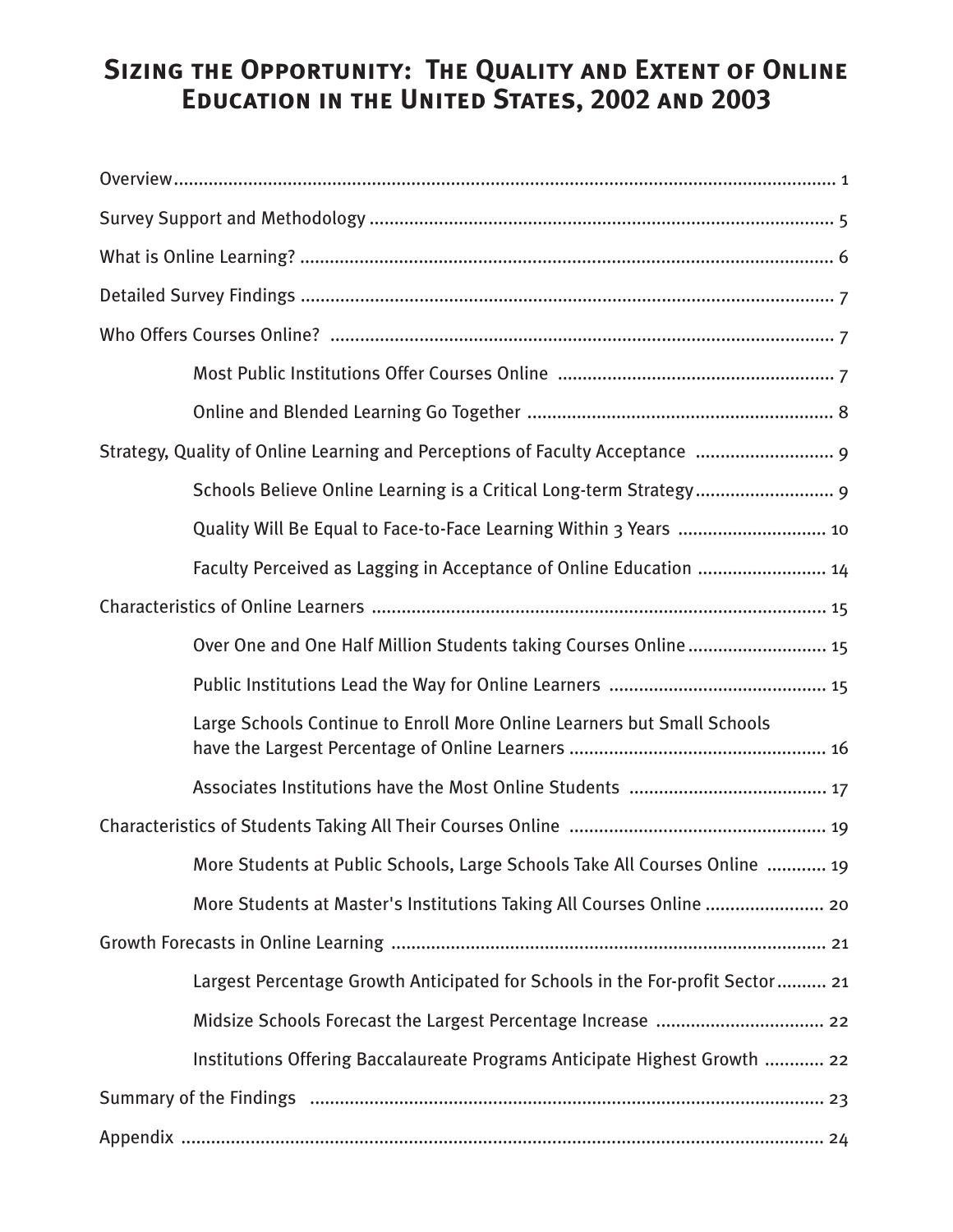# **Sizing the Opportunity: The Quality and Extent of Online Education in the United States, 2002 and 2003**

| Strategy, Quality of Online Learning and Perceptions of Faculty Acceptance  9 |
|-------------------------------------------------------------------------------|
| Schools Believe Online Learning is a Critical Long-term Strategy 9            |
| Quality Will Be Equal to Face-to-Face Learning Within 3 Years  10             |
| Faculty Perceived as Lagging in Acceptance of Online Education  14            |
|                                                                               |
| Over One and One Half Million Students taking Courses Online 15               |
|                                                                               |
| Large Schools Continue to Enroll More Online Learners but Small Schools       |
|                                                                               |
|                                                                               |
| More Students at Public Schools, Large Schools Take All Courses Online  19    |
| More Students at Master's Institutions Taking All Courses Online  20          |
|                                                                               |
| Largest Percentage Growth Anticipated for Schools in the For-profit Sector 21 |
|                                                                               |
| Institutions Offering Baccalaureate Programs Anticipate Highest Growth  22    |
|                                                                               |
|                                                                               |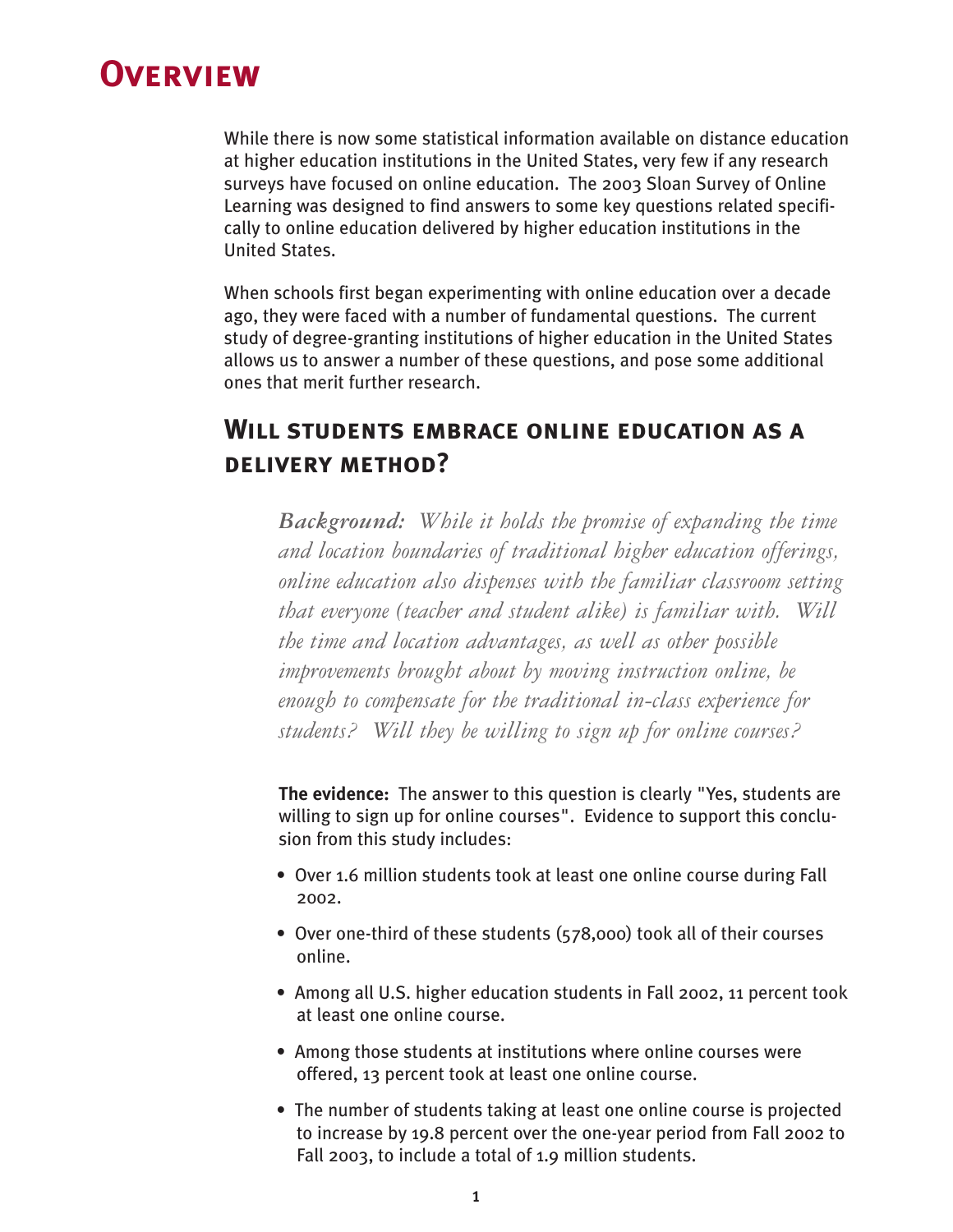# <span id="page-4-0"></span>**Overview**

While there is now some statistical information available on distance education at higher education institutions in the United States, very few if any research surveys have focused on online education. The 2003 Sloan Survey of Online Learning was designed to find answers to some key questions related specifically to online education delivered by higher education institutions in the United States.

When schools first began experimenting with online education over a decade ago, they were faced with a number of fundamental questions. The current study of degree-granting institutions of higher education in the United States allows us to answer a number of these questions, and pose some additional ones that merit further research.

# **Will students embrace online education as a delivery method?**

*Background: While it holds the promise of expanding the time and location boundaries of traditional higher education offerings, online education also dispenses with the familiar classroom setting that everyone (teacher and student alike) is familiar with. Will the time and location advantages, as well as other possible improvements brought about by moving instruction online, be enough to compensate for the traditional in-class experience for students? Will they be willing to sign up for online courses?*

**The evidence:** The answer to this question is clearly "Yes, students are willing to sign up for online courses". Evidence to support this conclusion from this study includes:

- Over 1.6 million students took at least one online course during Fall 2002.
- Over one-third of these students (578,000) took all of their courses online.
- Among all U.S. higher education students in Fall 2002, 11 percent took at least one online course.
- Among those students at institutions where online courses were offered, 13 percent took at least one online course.
- The number of students taking at least one online course is projected to increase by 19.8 percent over the one-year period from Fall 2002 to Fall 2003, to include a total of 1.9 million students.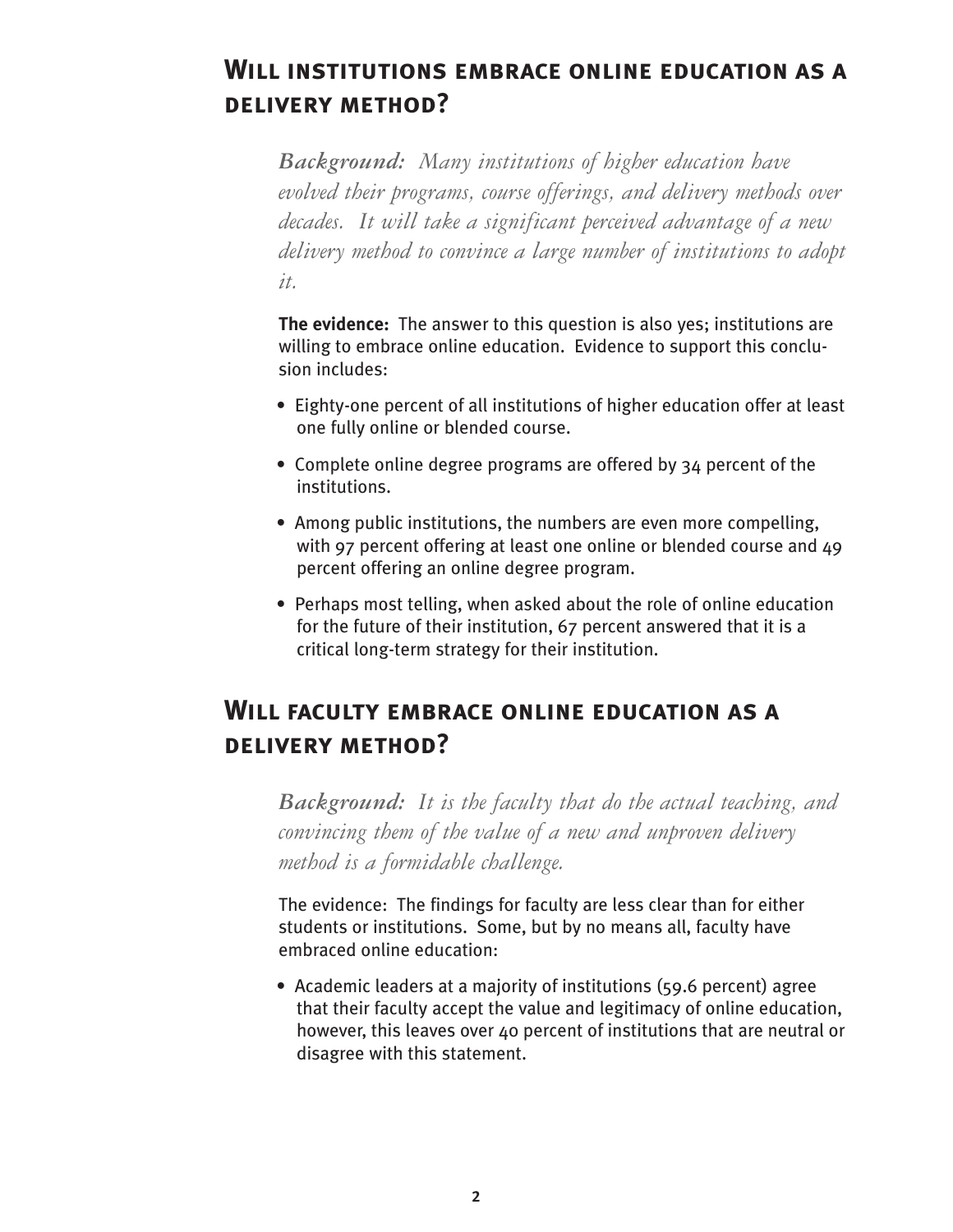# **Will institutions embrace online education as a delivery method?**

*Background: Many institutions of higher education have evolved their programs, course offerings, and delivery methods over decades. It will take a significant perceived advantage of a new delivery method to convince a large number of institutions to adopt it.*

**The evidence:** The answer to this question is also yes; institutions are willing to embrace online education. Evidence to support this conclusion includes:

- Eighty-one percent of all institutions of higher education offer at least one fully online or blended course.
- Complete online degree programs are offered by 34 percent of the institutions.
- Among public institutions, the numbers are even more compelling, with 97 percent offering at least one online or blended course and 49 percent offering an online degree program.
- Perhaps most telling, when asked about the role of online education for the future of their institution, 67 percent answered that it is a critical long-term strategy for their institution.

# **Will faculty embrace online education as a delivery method?**

*Background: It is the faculty that do the actual teaching, and convincing them of the value of a new and unproven delivery method is a formidable challenge.* 

The evidence: The findings for faculty are less clear than for either students or institutions. Some, but by no means all, faculty have embraced online education:

• Academic leaders at a majority of institutions (59.6 percent) agree that their faculty accept the value and legitimacy of online education, however, this leaves over 40 percent of institutions that are neutral or disagree with this statement.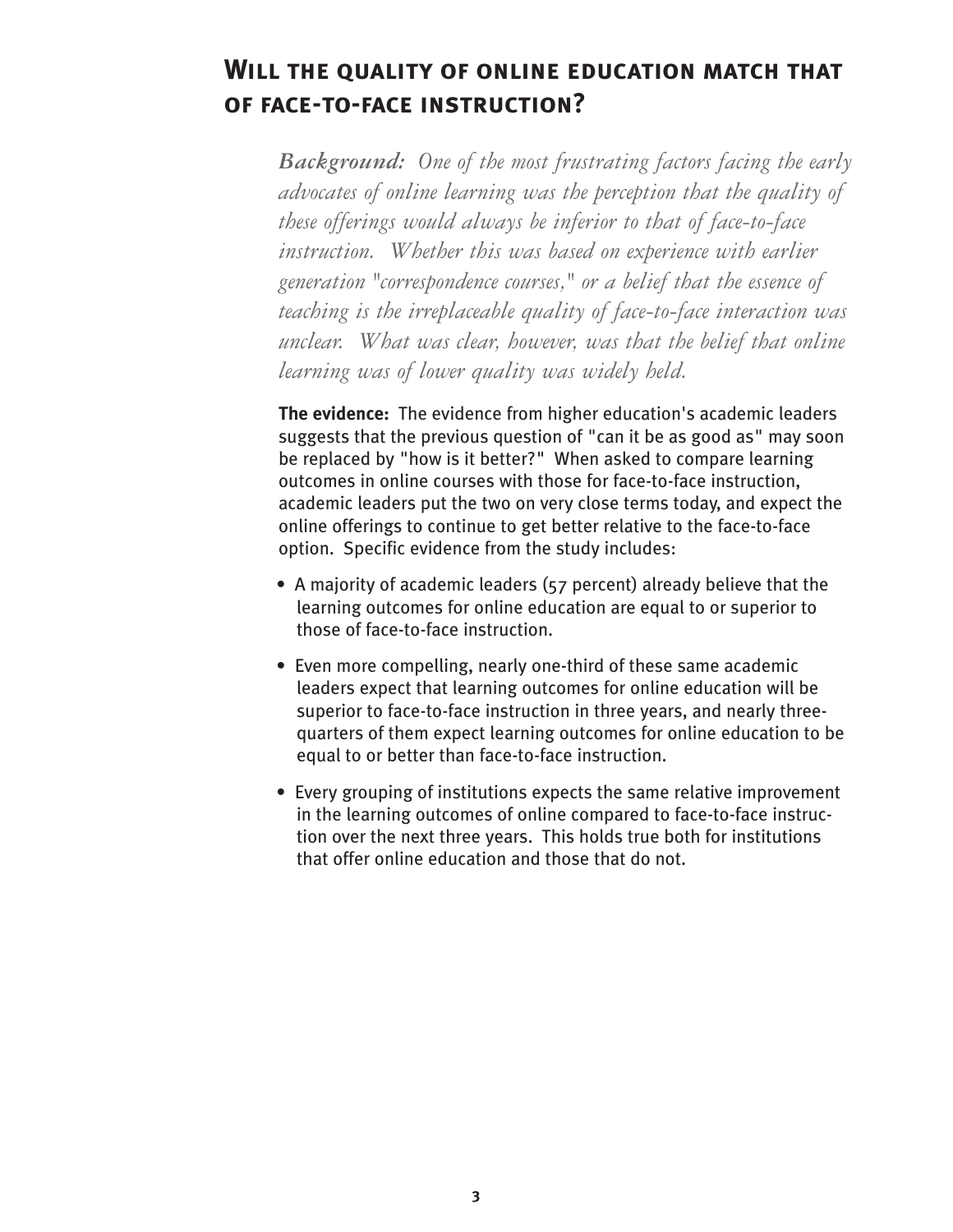# **Will the quality of online education match that of face-to-face instruction?**

*Background: One of the most frustrating factors facing the early advocates of online learning was the perception that the quality of these offerings would always be inferior to that of face-to-face instruction. Whether this was based on experience with earlier generation "correspondence courses," or a belief that the essence of teaching is the irreplaceable quality of face-to-face interaction was unclear. What was clear, however, was that the belief that online learning was of lower quality was widely held.*

**The evidence:** The evidence from higher education's academic leaders suggests that the previous question of "can it be as good as" may soon be replaced by "how is it better?" When asked to compare learning outcomes in online courses with those for face-to-face instruction, academic leaders put the two on very close terms today, and expect the online offerings to continue to get better relative to the face-to-face option. Specific evidence from the study includes:

- A majority of academic leaders (57 percent) already believe that the learning outcomes for online education are equal to or superior to those of face-to-face instruction.
- Even more compelling, nearly one-third of these same academic leaders expect that learning outcomes for online education will be superior to face-to-face instruction in three years, and nearly threequarters of them expect learning outcomes for online education to be equal to or better than face-to-face instruction.
- Every grouping of institutions expects the same relative improvement in the learning outcomes of online compared to face-to-face instruction over the next three years. This holds true both for institutions that offer online education and those that do not.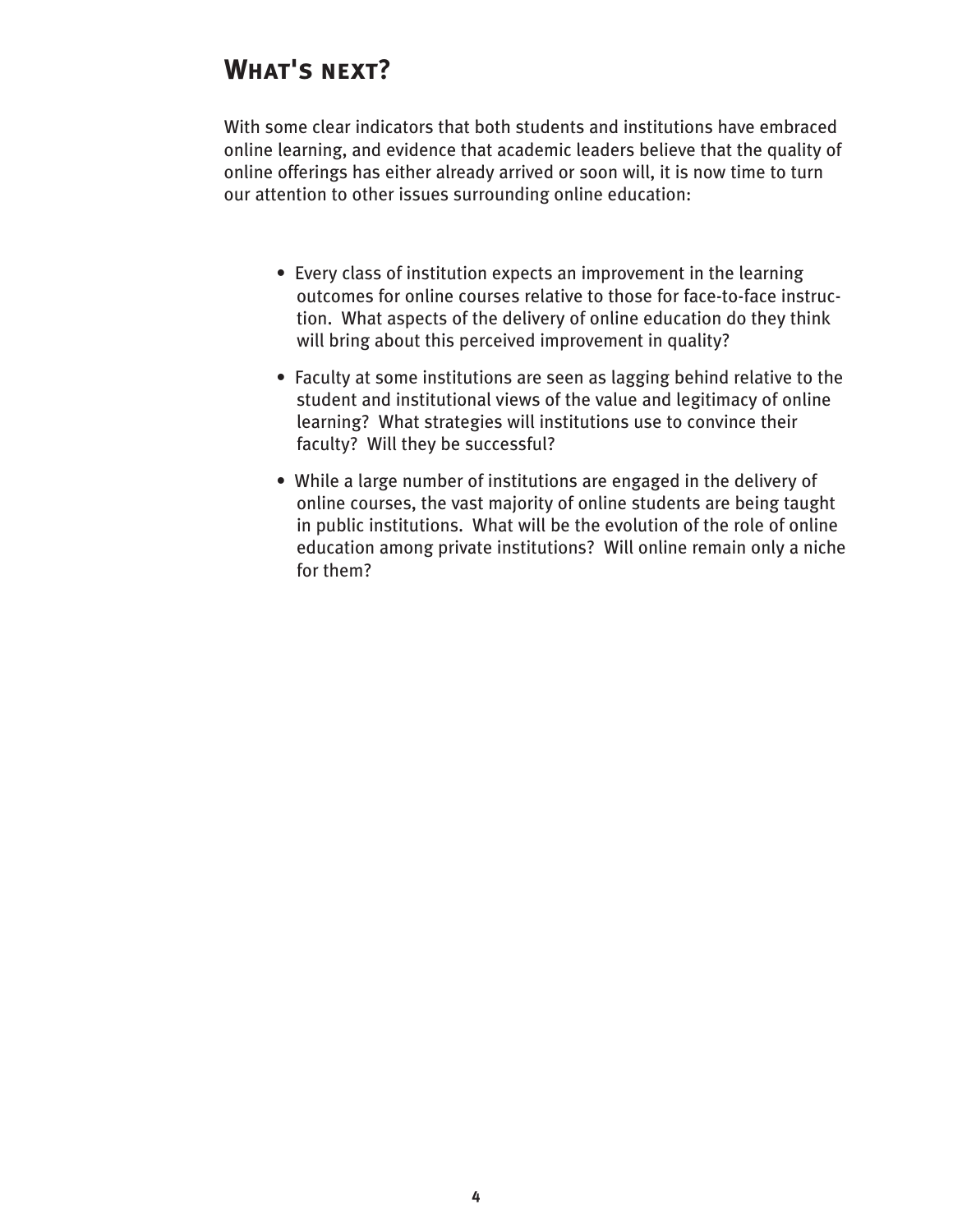# **What's next?**

With some clear indicators that both students and institutions have embraced online learning, and evidence that academic leaders believe that the quality of online offerings has either already arrived or soon will, it is now time to turn our attention to other issues surrounding online education:

- Every class of institution expects an improvement in the learning outcomes for online courses relative to those for face-to-face instruction. What aspects of the delivery of online education do they think will bring about this perceived improvement in quality?
- Faculty at some institutions are seen as lagging behind relative to the student and institutional views of the value and legitimacy of online learning? What strategies will institutions use to convince their faculty? Will they be successful?
- While a large number of institutions are engaged in the delivery of online courses, the vast majority of online students are being taught in public institutions. What will be the evolution of the role of online education among private institutions? Will online remain only a niche for them?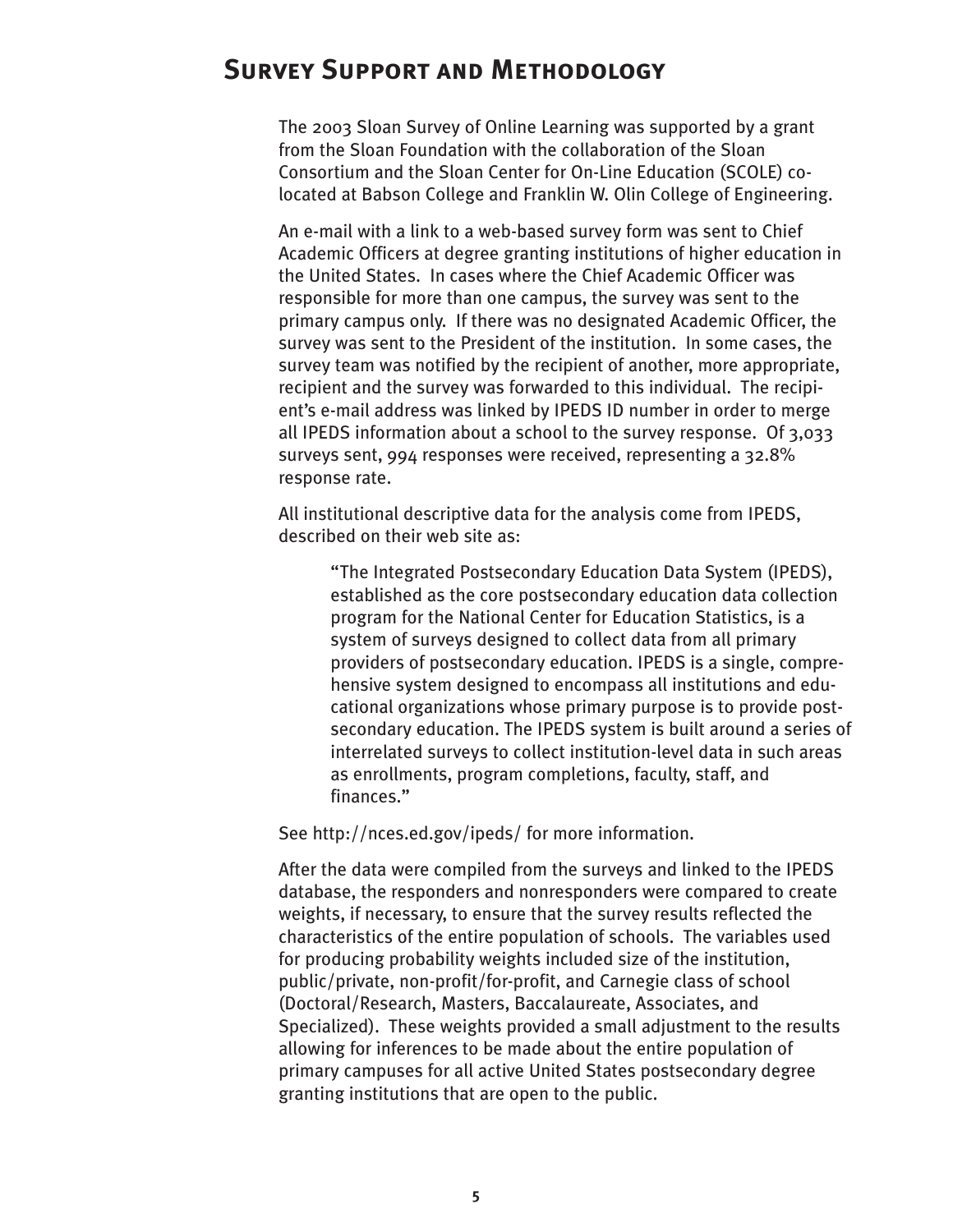## <span id="page-8-0"></span>**Survey Support and Methodology**

The 2003 Sloan Survey of Online Learning was supported by a grant from the Sloan Foundation with the collaboration of the Sloan Consortium and the Sloan Center for On-Line Education (SCOLE) colocated at Babson College and Franklin W. Olin College of Engineering.

An e-mail with a link to a web-based survey form was sent to Chief Academic Officers at degree granting institutions of higher education in the United States. In cases where the Chief Academic Officer was responsible for more than one campus, the survey was sent to the primary campus only. If there was no designated Academic Officer, the survey was sent to the President of the institution. In some cases, the survey team was notified by the recipient of another, more appropriate, recipient and the survey was forwarded to this individual. The recipient's e-mail address was linked by IPEDS ID number in order to merge all IPEDS information about a school to the survey response. Of 3,033 surveys sent, 994 responses were received, representing a 32.8% response rate.

All institutional descriptive data for the analysis come from IPEDS, described on their web site as:

"The Integrated Postsecondary Education Data System (IPEDS), established as the core postsecondary education data collection program for the National Center for Education Statistics, is a system of surveys designed to collect data from all primary providers of postsecondary education. IPEDS is a single, comprehensive system designed to encompass all institutions and educational organizations whose primary purpose is to provide postsecondary education. The IPEDS system is built around a series of interrelated surveys to collect institution-level data in such areas as enrollments, program completions, faculty, staff, and finances."

See http://nces.ed.gov/ipeds/ for more information.

After the data were compiled from the surveys and linked to the IPEDS database, the responders and nonresponders were compared to create weights, if necessary, to ensure that the survey results reflected the characteristics of the entire population of schools. The variables used for producing probability weights included size of the institution, public/private, non-profit/for-profit, and Carnegie class of school (Doctoral/Research, Masters, Baccalaureate, Associates, and Specialized). These weights provided a small adjustment to the results allowing for inferences to be made about the entire population of primary campuses for all active United States postsecondary degree granting institutions that are open to the public.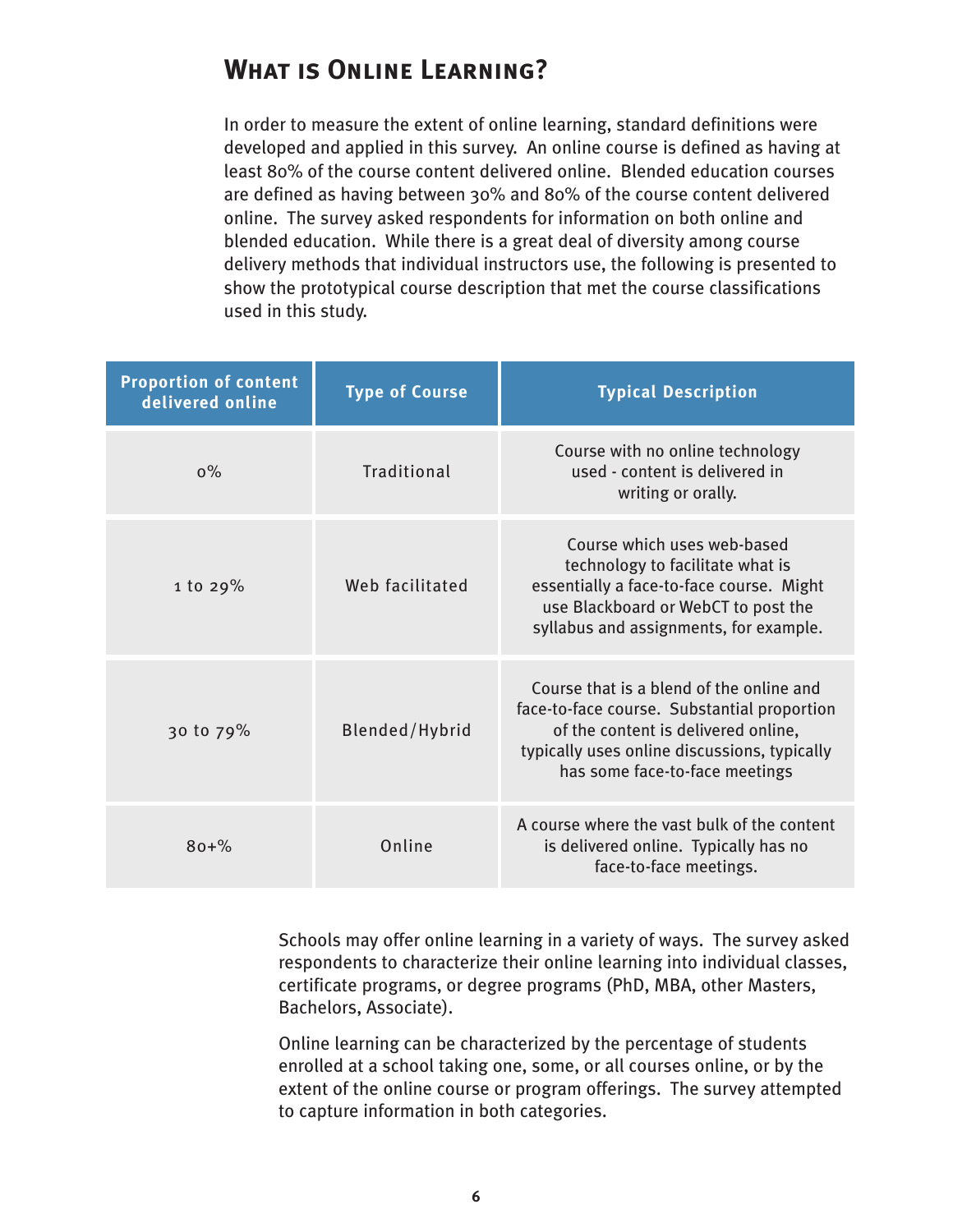# <span id="page-9-0"></span>**What is Online Learning?**

In order to measure the extent of online learning, standard definitions were developed and applied in this survey. An online course is defined as having at least 80% of the course content delivered online. Blended education courses are defined as having between 30% and 80% of the course content delivered online. The survey asked respondents for information on both online and blended education. While there is a great deal of diversity among course delivery methods that individual instructors use, the following is presented to show the prototypical course description that met the course classifications used in this study.

| <b>Proportion of content</b><br>delivered online | <b>Type of Course</b> | <b>Typical Description</b>                                                                                                                                                                                       |
|--------------------------------------------------|-----------------------|------------------------------------------------------------------------------------------------------------------------------------------------------------------------------------------------------------------|
| $0\%$                                            | Traditional           | Course with no online technology<br>used - content is delivered in<br>writing or orally.                                                                                                                         |
| 1 to $29%$                                       | Web facilitated       | Course which uses web-based<br>technology to facilitate what is<br>essentially a face-to-face course. Might<br>use Blackboard or WebCT to post the<br>syllabus and assignments, for example.                     |
| 30 to 79%                                        | Blended/Hybrid        | Course that is a blend of the online and<br>face-to-face course. Substantial proportion<br>of the content is delivered online,<br>typically uses online discussions, typically<br>has some face-to-face meetings |
| $80 + \%$                                        | Online                | A course where the vast bulk of the content<br>is delivered online. Typically has no<br>face-to-face meetings.                                                                                                   |

Schools may offer online learning in a variety of ways. The survey asked respondents to characterize their online learning into individual classes, certificate programs, or degree programs (PhD, MBA, other Masters, Bachelors, Associate).

Online learning can be characterized by the percentage of students enrolled at a school taking one, some, or all courses online, or by the extent of the online course or program offerings. The survey attempted to capture information in both categories.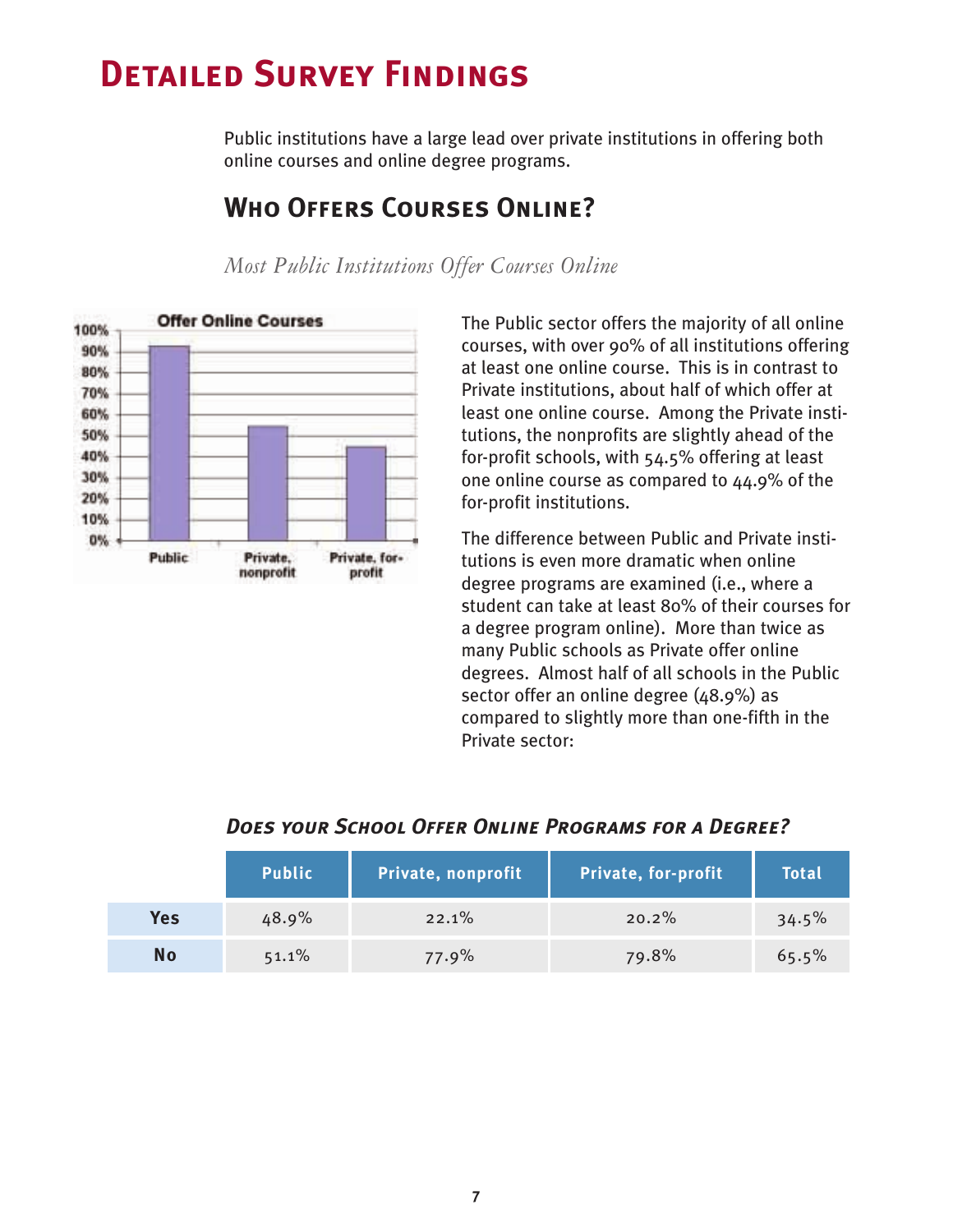# <span id="page-10-0"></span>**Detailed Survey Findings**

Public institutions have a large lead over private institutions in offering both online courses and online degree programs.

#### **Offer Online Courses** 100% 90% 80% 70% 60% 50% 40% 30% 20% 10%  $0\%$ **Public** Private, Private, forprofit nonprofit

*Most Public Institutions Offer Courses Online*

**Who Offers Courses Online?**

The Public sector offers the majority of all online courses, with over 90% of all institutions offering at least one online course. This is in contrast to Private institutions, about half of which offer at least one online course. Among the Private institutions, the nonprofits are slightly ahead of the for-profit schools, with 54.5% offering at least one online course as compared to 44.9% of the for-profit institutions.

The difference between Public and Private institutions is even more dramatic when online degree programs are examined (i.e., where a student can take at least 80% of their courses for a degree program online). More than twice as many Public schools as Private offer online degrees. Almost half of all schools in the Public sector offer an online degree (48.9%) as compared to slightly more than one-fifth in the Private sector:

| DUES TOUR SLAUDL OFFER UNLINE FROGRAMS FOR A DEGREE: |               |                    |                            |              |  |
|------------------------------------------------------|---------------|--------------------|----------------------------|--------------|--|
|                                                      | <b>Public</b> | Private, nonprofit | <b>Private, for-profit</b> | <b>Total</b> |  |
| <b>Yes</b>                                           | 48.9%         | 22.1%              | 20.2%                      | 34.5%        |  |
| <b>No</b>                                            | 51.1%         | 77.9%              | 79.8%                      | 65.5%        |  |

## *Does your School Offer Online Programs for a Degree?*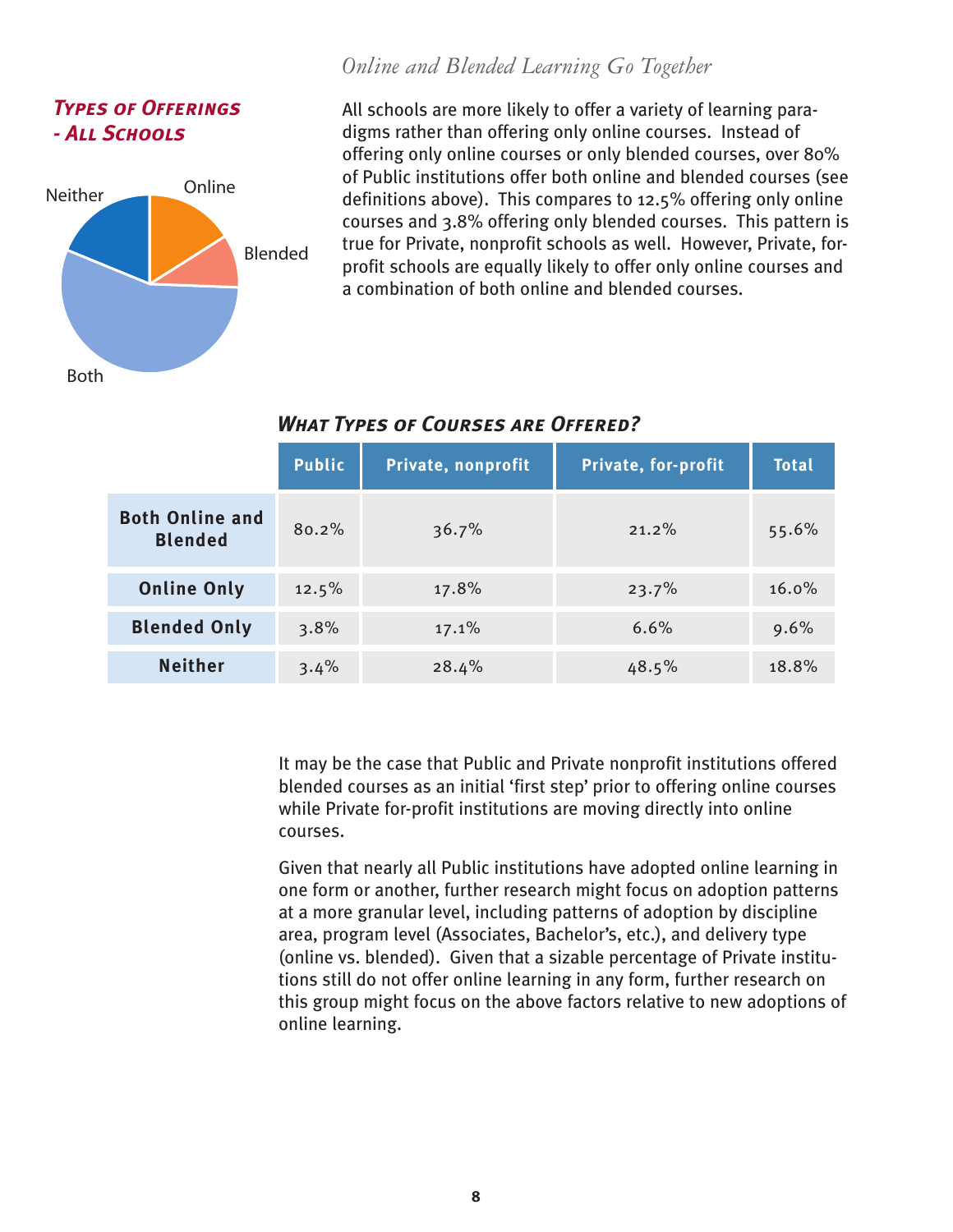## <span id="page-11-0"></span>*Types of Offerings - All Schools*



All schools are more likely to offer a variety of learning paradigms rather than offering only online courses. Instead of offering only online courses or only blended courses, over 80% of Public institutions offer both online and blended courses (see definitions above). This compares to 12.5% offering only online courses and 3.8% offering only blended courses. This pattern is true for Private, nonprofit schools as well. However, Private, forprofit schools are equally likely to offer only online courses and a combination of both online and blended courses.

*Online and Blended Learning Go Together*

|                                          | <b>Public</b> | Private, nonprofit | <b>Private, for-profit</b> | <b>Total</b> |
|------------------------------------------|---------------|--------------------|----------------------------|--------------|
| <b>Both Online and</b><br><b>Blended</b> | 80.2%         | 36.7%              | 21.2%                      | 55.6%        |
| <b>Online Only</b>                       | 12.5%         | 17.8%              | 23.7%                      | $16.0\%$     |
| <b>Blended Only</b>                      | 3.8%          | 17.1%              | 6.6%                       | 9.6%         |
| <b>Neither</b>                           | 3.4%          | 28.4%              | 48.5%                      | 18.8%        |

#### *What Types of Courses are Offered?*

It may be the case that Public and Private nonprofit institutions offered blended courses as an initial 'first step' prior to offering online courses while Private for-profit institutions are moving directly into online courses.

Given that nearly all Public institutions have adopted online learning in one form or another, further research might focus on adoption patterns at a more granular level, including patterns of adoption by discipline area, program level (Associates, Bachelor's, etc.), and delivery type (online vs. blended). Given that a sizable percentage of Private institutions still do not offer online learning in any form, further research on this group might focus on the above factors relative to new adoptions of online learning.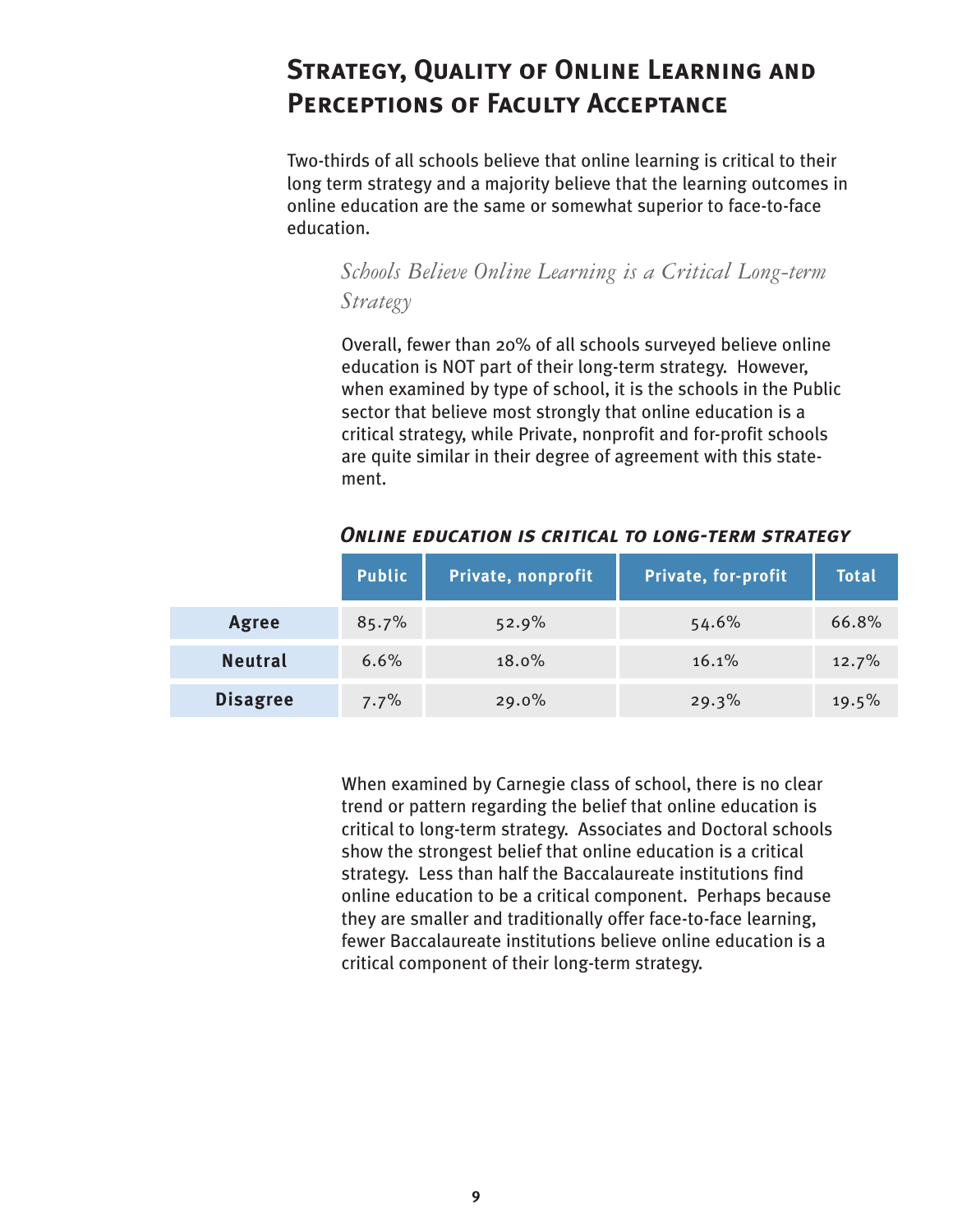# <span id="page-12-0"></span>**Strategy, Quality of Online Learning and Perceptions of Faculty Acceptance**

Two-thirds of all schools believe that online learning is critical to their long term strategy and a majority believe that the learning outcomes in online education are the same or somewhat superior to face-to-face education.

## *Schools Believe Online Learning is a Critical Long-term Strategy*

Overall, fewer than 20% of all schools surveyed believe online education is NOT part of their long-term strategy. However, when examined by type of school, it is the schools in the Public sector that believe most strongly that online education is a critical strategy, while Private, nonprofit and for-profit schools are quite similar in their degree of agreement with this statement.

|                 | <b>Public</b> | Private, nonprofit | Private, for-profit | Total |
|-----------------|---------------|--------------------|---------------------|-------|
| Agree           | 85.7%         | 52.9%              | 54.6%               | 66.8% |
| <b>Neutral</b>  | 6.6%          | 18.0%              | 16.1%               | 12.7% |
| <b>Disagree</b> | 7.7%          | 29.0%              | 29.3%               | 19.5% |

#### *Online education is critical to long-term strategy*

When examined by Carnegie class of school, there is no clear trend or pattern regarding the belief that online education is critical to long-term strategy. Associates and Doctoral schools show the strongest belief that online education is a critical strategy. Less than half the Baccalaureate institutions find online education to be a critical component. Perhaps because they are smaller and traditionally offer face-to-face learning, fewer Baccalaureate institutions believe online education is a critical component of their long-term strategy.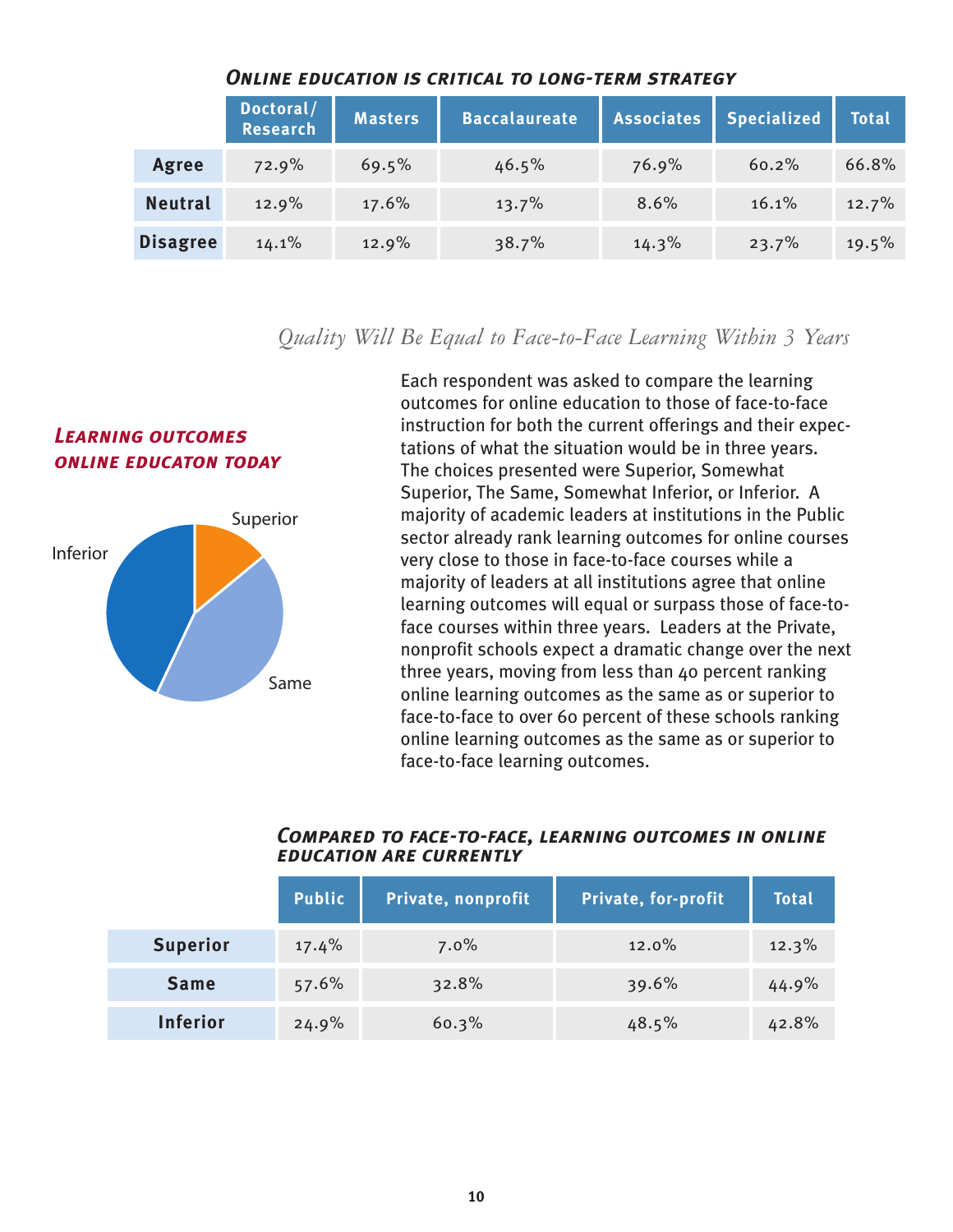<span id="page-13-0"></span>

|                 | Doctoral/<br><b>Research</b> | <b>Masters</b> | <b>Baccalaureate</b> | <b>Associates</b> | <b>Specialized</b> | <b>Total</b> |
|-----------------|------------------------------|----------------|----------------------|-------------------|--------------------|--------------|
| <b>Agree</b>    | 72.9%                        | 69.5%          | 46.5%                | 76.9%             | 60.2%              | 66.8%        |
| <b>Neutral</b>  | 12.9%                        | 17.6%          | 13.7%                | 8.6%              | 16.1%              | 12.7%        |
| <b>Disagree</b> | 14.1%                        | 12.9%          | 38.7%                | 14.3%             | 23.7%              | 19.5%        |

#### *Online education is critical to long-term strategy*

## *Quality Will Be Equal to Face-to-Face Learning Within 3 Years*

## *Learning outcomes online educaton today*



Each respondent was asked to compare the learning outcomes for online education to those of face-to-face instruction for both the current offerings and their expectations of what the situation would be in three years. The choices presented were Superior, Somewhat Superior, The Same, Somewhat Inferior, or Inferior. A majority of academic leaders at institutions in the Public sector already rank learning outcomes for online courses very close to those in face-to-face courses while a majority of leaders at all institutions agree that online learning outcomes will equal or surpass those of face-toface courses within three years. Leaders at the Private, nonprofit schools expect a dramatic change over the next three years, moving from less than 40 percent ranking online learning outcomes as the same as or superior to face-to-face to over 60 percent of these schools ranking online learning outcomes as the same as or superior to face-to-face learning outcomes.

|                 | <b>Public</b> | Private, nonprofit | Private, for-profit | <b>Total</b> |
|-----------------|---------------|--------------------|---------------------|--------------|
| <b>Superior</b> | 17.4%         | $7.0\%$            | 12.0%               | 12.3%        |
| <b>Same</b>     | 57.6%         | 32.8%              | 39.6%               | 44.9%        |
| <b>Inferior</b> | 24.9%         | 60.3%              | 48.5%               | 42.8%        |

#### *Compared to face-to-face, learning outcomes in online education are currently*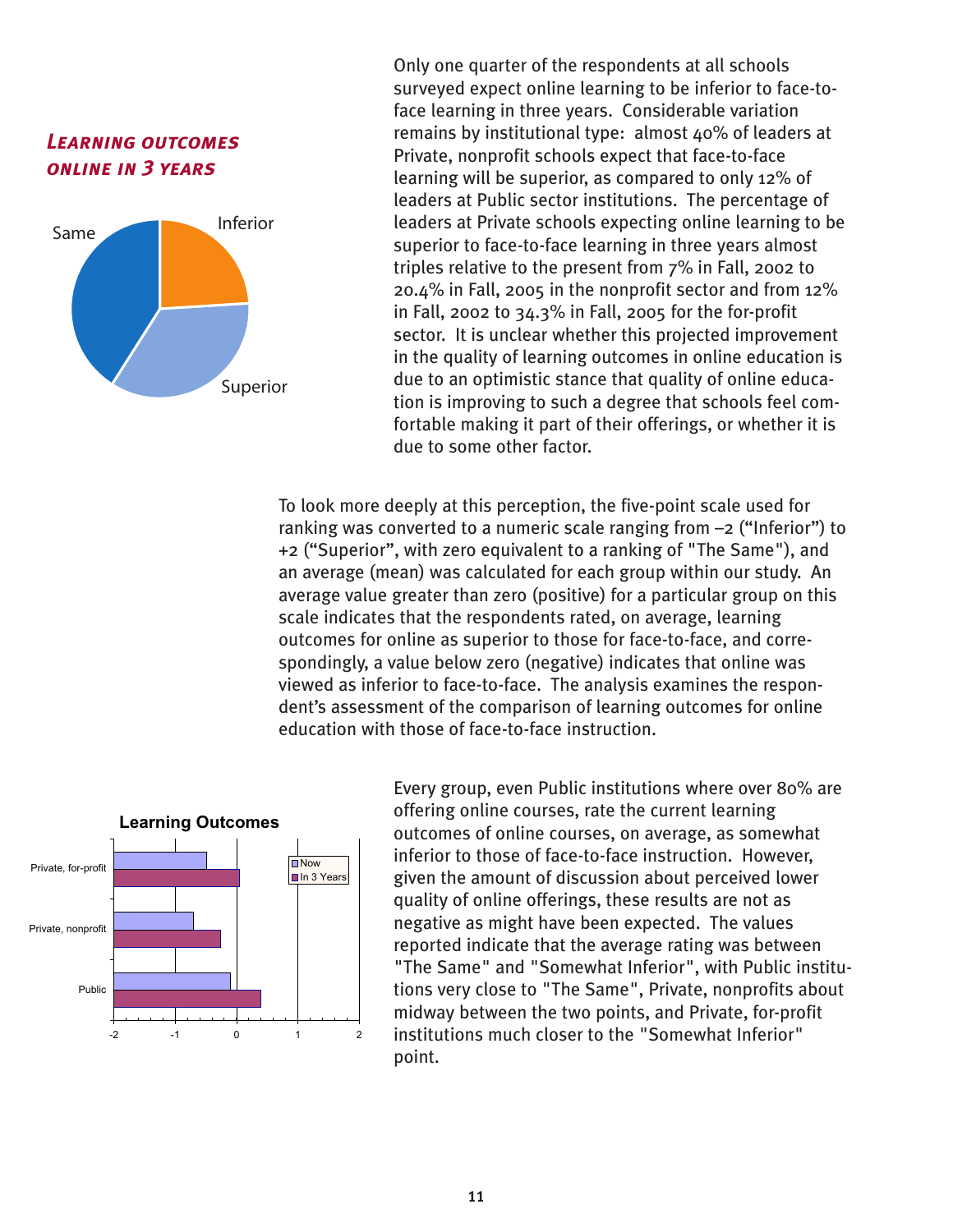



Only one quarter of the respondents at all schools surveyed expect online learning to be inferior to face-toface learning in three years. Considerable variation remains by institutional type: almost 40% of leaders at Private, nonprofit schools expect that face-to-face learning will be superior, as compared to only 12% of leaders at Public sector institutions. The percentage of leaders at Private schools expecting online learning to be superior to face-to-face learning in three years almost triples relative to the present from 7% in Fall, 2002 to 20.4% in Fall, 2005 in the nonprofit sector and from 12% in Fall, 2002 to 34.3% in Fall, 2005 for the for-profit sector. It is unclear whether this projected improvement in the quality of learning outcomes in online education is due to an optimistic stance that quality of online education is improving to such a degree that schools feel comfortable making it part of their offerings, or whether it is due to some other factor.

To look more deeply at this perception, the five-point scale used for ranking was converted to a numeric scale ranging from –2 ("Inferior") to +2 ("Superior", with zero equivalent to a ranking of "The Same"), and an average (mean) was calculated for each group within our study. An average value greater than zero (positive) for a particular group on this scale indicates that the respondents rated, on average, learning outcomes for online as superior to those for face-to-face, and correspondingly, a value below zero (negative) indicates that online was viewed as inferior to face-to-face. The analysis examines the respondent's assessment of the comparison of learning outcomes for online education with those of face-to-face instruction.



Every group, even Public institutions where over 80% are offering online courses, rate the current learning outcomes of online courses, on average, as somewhat inferior to those of face-to-face instruction. However, given the amount of discussion about perceived lower quality of online offerings, these results are not as negative as might have been expected. The values reported indicate that the average rating was between "The Same" and "Somewhat Inferior", with Public institutions very close to "The Same", Private, nonprofits about midway between the two points, and Private, for-profit institutions much closer to the "Somewhat Inferior" point.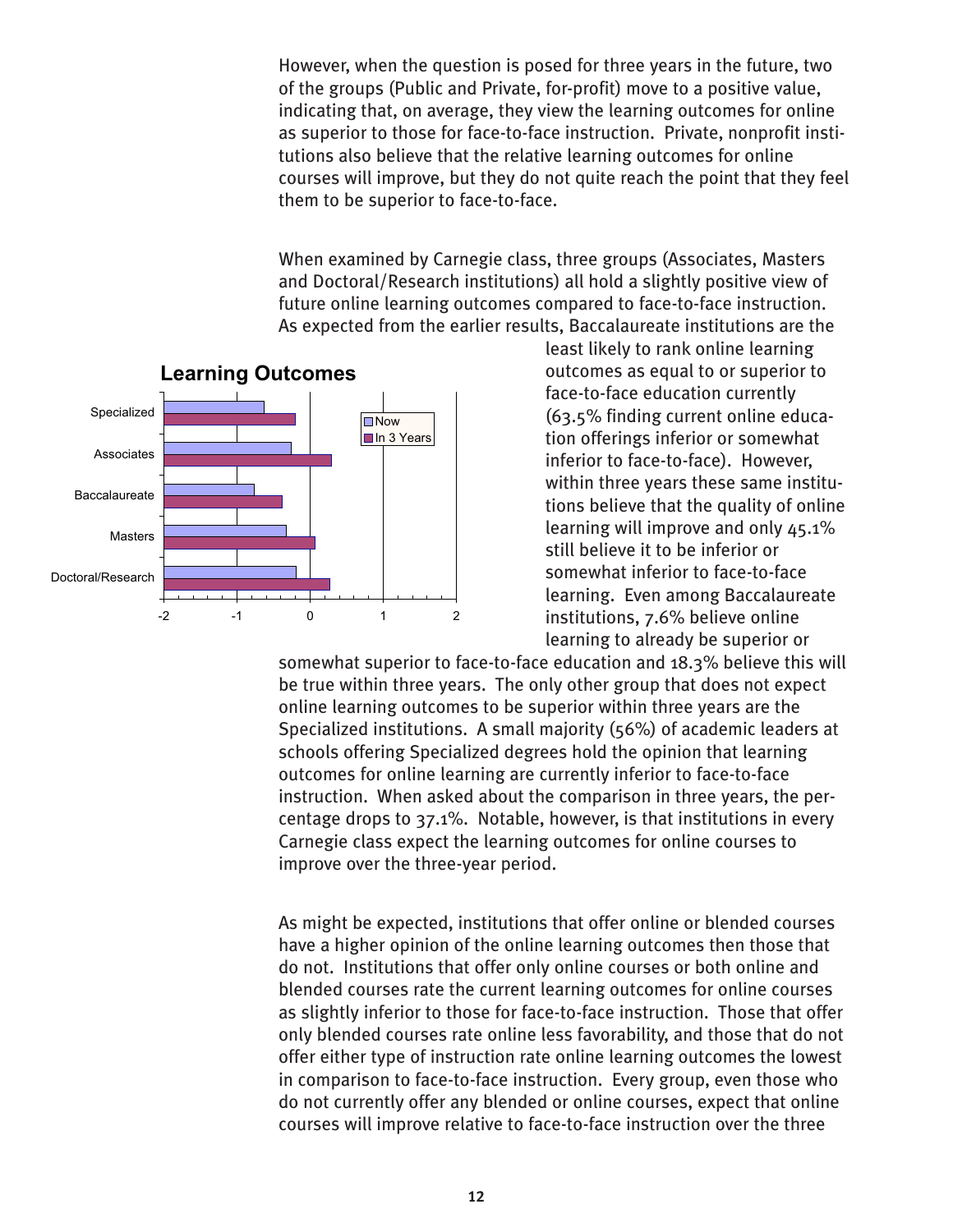However, when the question is posed for three years in the future, two of the groups (Public and Private, for-profit) move to a positive value, indicating that, on average, they view the learning outcomes for online as superior to those for face-to-face instruction. Private, nonprofit institutions also believe that the relative learning outcomes for online courses will improve, but they do not quite reach the point that they feel them to be superior to face-to-face.

When examined by Carnegie class, three groups (Associates, Masters and Doctoral/Research institutions) all hold a slightly positive view of future online learning outcomes compared to face-to-face instruction. As expected from the earlier results, Baccalaureate institutions are the



least likely to rank online learning outcomes as equal to or superior to face-to-face education currently (63.5% finding current online education offerings inferior or somewhat inferior to face-to-face). However, within three years these same institutions believe that the quality of online learning will improve and only 45.1% still believe it to be inferior or somewhat inferior to face-to-face learning. Even among Baccalaureate institutions, 7.6% believe online learning to already be superior or

somewhat superior to face-to-face education and 18.3% believe this will be true within three years. The only other group that does not expect online learning outcomes to be superior within three years are the Specialized institutions. A small majority (56%) of academic leaders at schools offering Specialized degrees hold the opinion that learning outcomes for online learning are currently inferior to face-to-face instruction. When asked about the comparison in three years, the percentage drops to 37.1%. Notable, however, is that institutions in every Carnegie class expect the learning outcomes for online courses to improve over the three-year period.

As might be expected, institutions that offer online or blended courses have a higher opinion of the online learning outcomes then those that do not. Institutions that offer only online courses or both online and blended courses rate the current learning outcomes for online courses as slightly inferior to those for face-to-face instruction. Those that offer only blended courses rate online less favorability, and those that do not offer either type of instruction rate online learning outcomes the lowest in comparison to face-to-face instruction. Every group, even those who do not currently offer any blended or online courses, expect that online courses will improve relative to face-to-face instruction over the three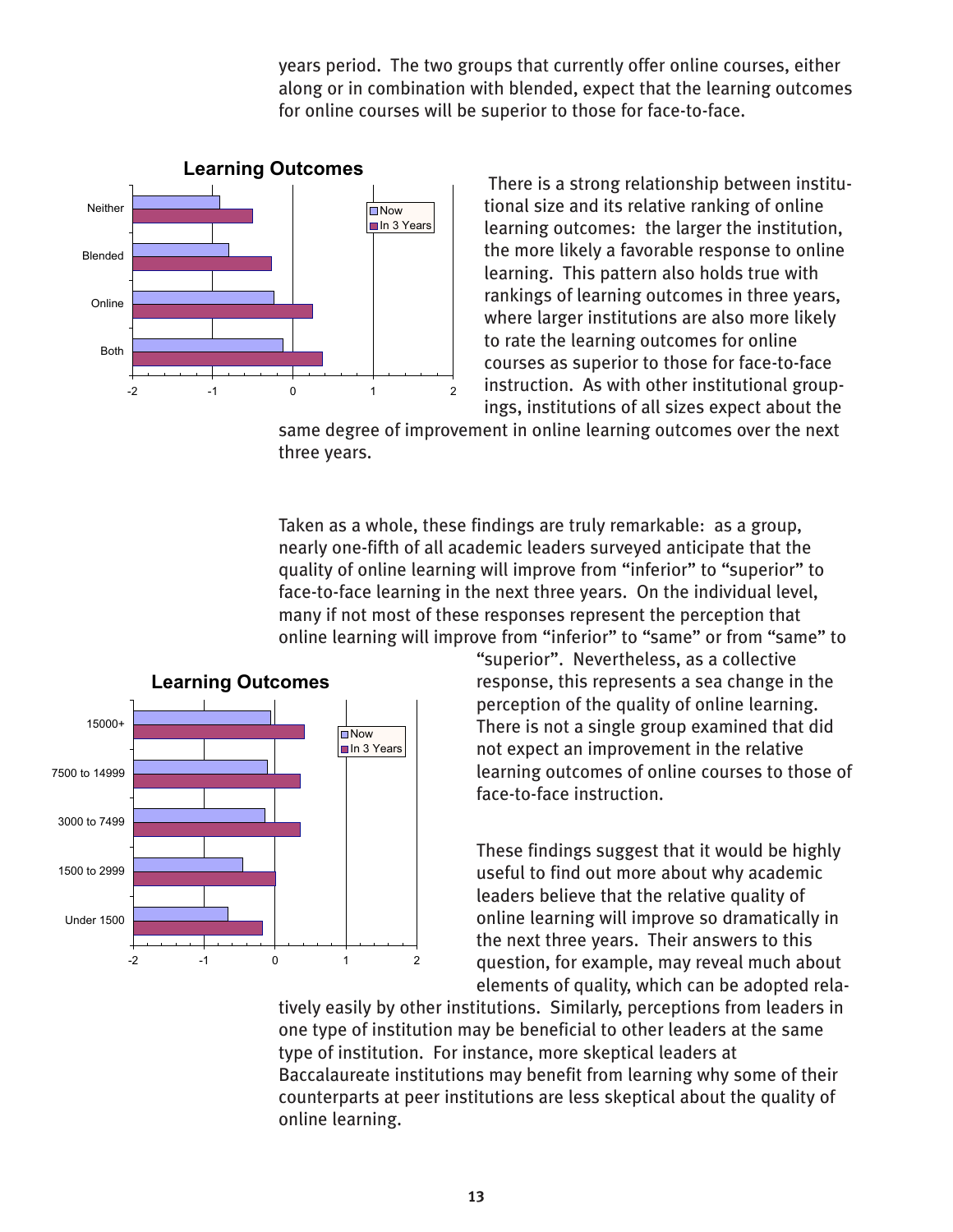years period. The two groups that currently offer online courses, either along or in combination with blended, expect that the learning outcomes for online courses will be superior to those for face-to-face.



**Learning Outcomes**

There is a strong relationship between institutional size and its relative ranking of online learning outcomes: the larger the institution, the more likely a favorable response to online learning. This pattern also holds true with rankings of learning outcomes in three years, where larger institutions are also more likely to rate the learning outcomes for online courses as superior to those for face-to-face instruction. As with other institutional groupings, institutions of all sizes expect about the

same degree of improvement in online learning outcomes over the next three years.

Taken as a whole, these findings are truly remarkable: as a group, nearly one-fifth of all academic leaders surveyed anticipate that the quality of online learning will improve from "inferior" to "superior" to face-to-face learning in the next three years. On the individual level, many if not most of these responses represent the perception that online learning will improve from "inferior" to "same" or from "same" to



"superior". Nevertheless, as a collective response, this represents a sea change in the perception of the quality of online learning. There is not a single group examined that did not expect an improvement in the relative learning outcomes of online courses to those of face-to-face instruction.

These findings suggest that it would be highly useful to find out more about why academic leaders believe that the relative quality of online learning will improve so dramatically in the next three years. Their answers to this question, for example, may reveal much about elements of quality, which can be adopted rela-

tively easily by other institutions. Similarly, perceptions from leaders in one type of institution may be beneficial to other leaders at the same type of institution. For instance, more skeptical leaders at Baccalaureate institutions may benefit from learning why some of their counterparts at peer institutions are less skeptical about the quality of online learning.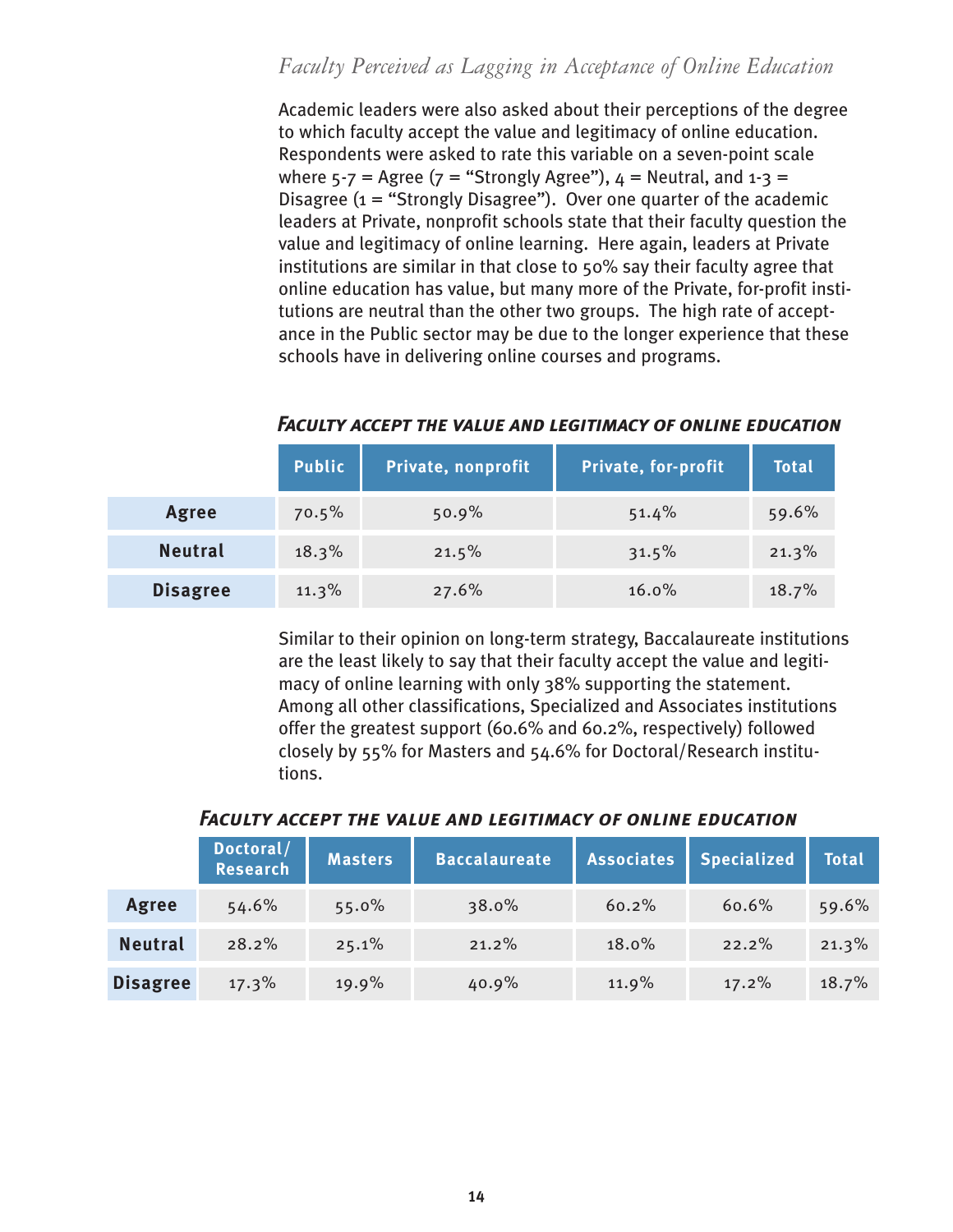## <span id="page-17-0"></span>*Faculty Perceived as Lagging in Acceptance of Online Education*

Academic leaders were also asked about their perceptions of the degree to which faculty accept the value and legitimacy of online education. Respondents were asked to rate this variable on a seven-point scale where  $5-7$  = Agree ( $7$  = "Strongly Agree"),  $4$  = Neutral, and  $1-3$  = Disagree  $(i = "Strongly Disagree").$  Over one quarter of the academic leaders at Private, nonprofit schools state that their faculty question the value and legitimacy of online learning. Here again, leaders at Private institutions are similar in that close to 50% say their faculty agree that online education has value, but many more of the Private, for-profit institutions are neutral than the other two groups. The high rate of acceptance in the Public sector may be due to the longer experience that these schools have in delivering online courses and programs.

|                 | <b>Public</b> | Private, nonprofit | Private, for-profit | Total |
|-----------------|---------------|--------------------|---------------------|-------|
| Agree           | 70.5%         | 50.9%              | 51.4%               | 59.6% |
| <b>Neutral</b>  | 18.3%         | 21.5%              | 31.5%               | 21.3% |
| <b>Disagree</b> | 11.3%         | 27.6%              | 16.0%               | 18.7% |

#### *Faculty accept the value and legitimacy of online education*

Similar to their opinion on long-term strategy, Baccalaureate institutions are the least likely to say that their faculty accept the value and legitimacy of online learning with only 38% supporting the statement. Among all other classifications, Specialized and Associates institutions offer the greatest support (60.6% and 60.2%, respectively) followed closely by 55% for Masters and 54.6% for Doctoral/Research institutions.

# **Masters Baccalaureate Associates Specialized Total Doctoral/ Research**

#### *Faculty accept the value and legitimacy of online education*

|                 | $-0.0000000$<br>Research | <b>Masters</b> | <b>Baccalaureate</b> |       | Associates   Specialized | <b>Total</b> |
|-----------------|--------------------------|----------------|----------------------|-------|--------------------------|--------------|
| Agree           | 54.6%                    | 55.0%          | 38.0%                | 60.2% | 60.6%                    | 59.6%        |
| <b>Neutral</b>  | 28.2%                    | 25.1%          | 21.2%                | 18.0% | 22.2%                    | 21.3%        |
| <b>Disagree</b> | 17.3%                    | 19.9%          | 40.9%                | 11.9% | 17.2%                    | 18.7%        |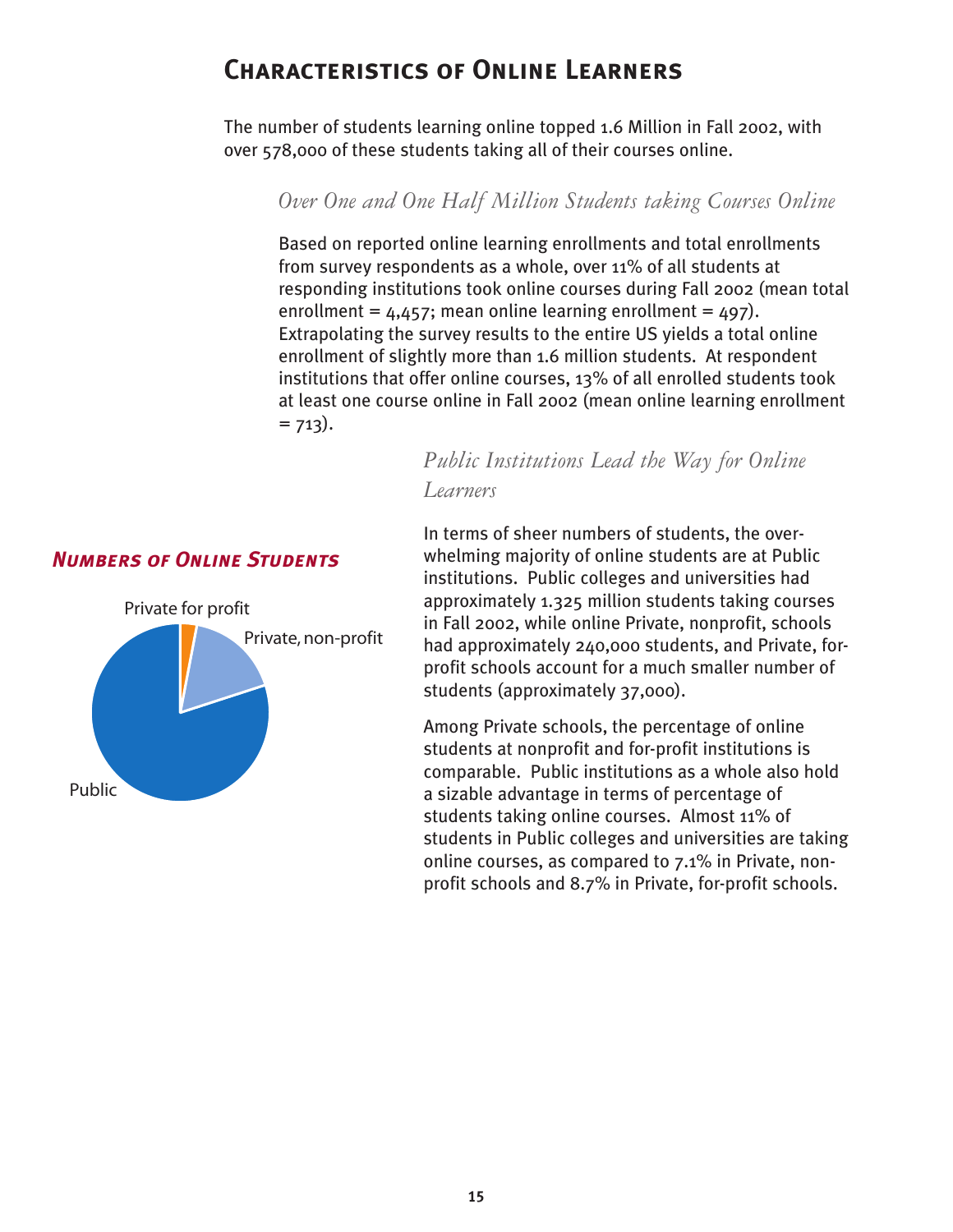# <span id="page-18-0"></span>**Characteristics of Online Learners**

The number of students learning online topped 1.6 Million in Fall 2002, with over 578,000 of these students taking all of their courses online.

*Over One and One Half Million Students taking Courses Online*

Based on reported online learning enrollments and total enrollments from survey respondents as a whole, over 11% of all students at responding institutions took online courses during Fall 2002 (mean total enrollment =  $4.457$ ; mean online learning enrollment =  $497$ ). Extrapolating the survey results to the entire US yields a total online enrollment of slightly more than 1.6 million students. At respondent institutions that offer online courses, 13% of all enrolled students took at least one course online in Fall 2002 (mean online learning enrollment  $= 713$ .

> *Public Institutions Lead the Way for Online Learners*

#### *Numbers of Online Students*



In terms of sheer numbers of students, the overwhelming majority of online students are at Public institutions. Public colleges and universities had approximately 1.325 million students taking courses in Fall 2002, while online Private, nonprofit, schools had approximately 240,000 students, and Private, forprofit schools account for a much smaller number of students (approximately 37,000).

Among Private schools, the percentage of online students at nonprofit and for-profit institutions is comparable. Public institutions as a whole also hold a sizable advantage in terms of percentage of students taking online courses. Almost 11% of students in Public colleges and universities are taking online courses, as compared to 7.1% in Private, nonprofit schools and 8.7% in Private, for-profit schools.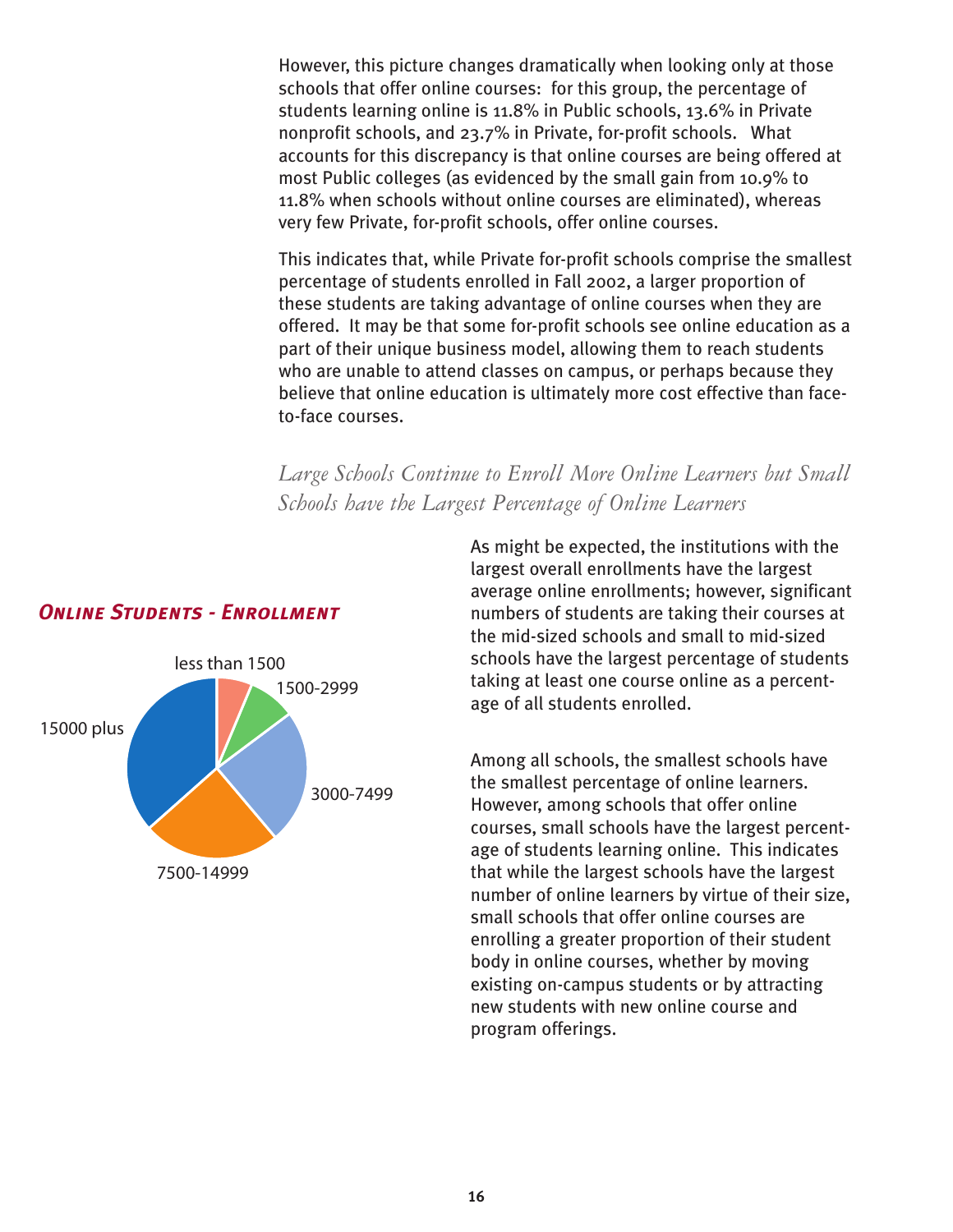<span id="page-19-0"></span>However, this picture changes dramatically when looking only at those schools that offer online courses: for this group, the percentage of students learning online is 11.8% in Public schools, 13.6% in Private nonprofit schools, and 23.7% in Private, for-profit schools. What accounts for this discrepancy is that online courses are being offered at most Public colleges (as evidenced by the small gain from 10.9% to 11.8% when schools without online courses are eliminated), whereas very few Private, for-profit schools, offer online courses.

This indicates that, while Private for-profit schools comprise the smallest percentage of students enrolled in Fall 2002, a larger proportion of these students are taking advantage of online courses when they are offered. It may be that some for-profit schools see online education as a part of their unique business model, allowing them to reach students who are unable to attend classes on campus, or perhaps because they believe that online education is ultimately more cost effective than faceto-face courses.

*Large Schools Continue to Enroll More Online Learners but Small Schools have the Largest Percentage of Online Learners*



#### *Online Students - Enrollment*

As might be expected, the institutions with the largest overall enrollments have the largest average online enrollments; however, significant numbers of students are taking their courses at the mid-sized schools and small to mid-sized schools have the largest percentage of students taking at least one course online as a percentage of all students enrolled.

Among all schools, the smallest schools have the smallest percentage of online learners. However, among schools that offer online courses, small schools have the largest percentage of students learning online. This indicates that while the largest schools have the largest number of online learners by virtue of their size, small schools that offer online courses are enrolling a greater proportion of their student body in online courses, whether by moving existing on-campus students or by attracting new students with new online course and program offerings.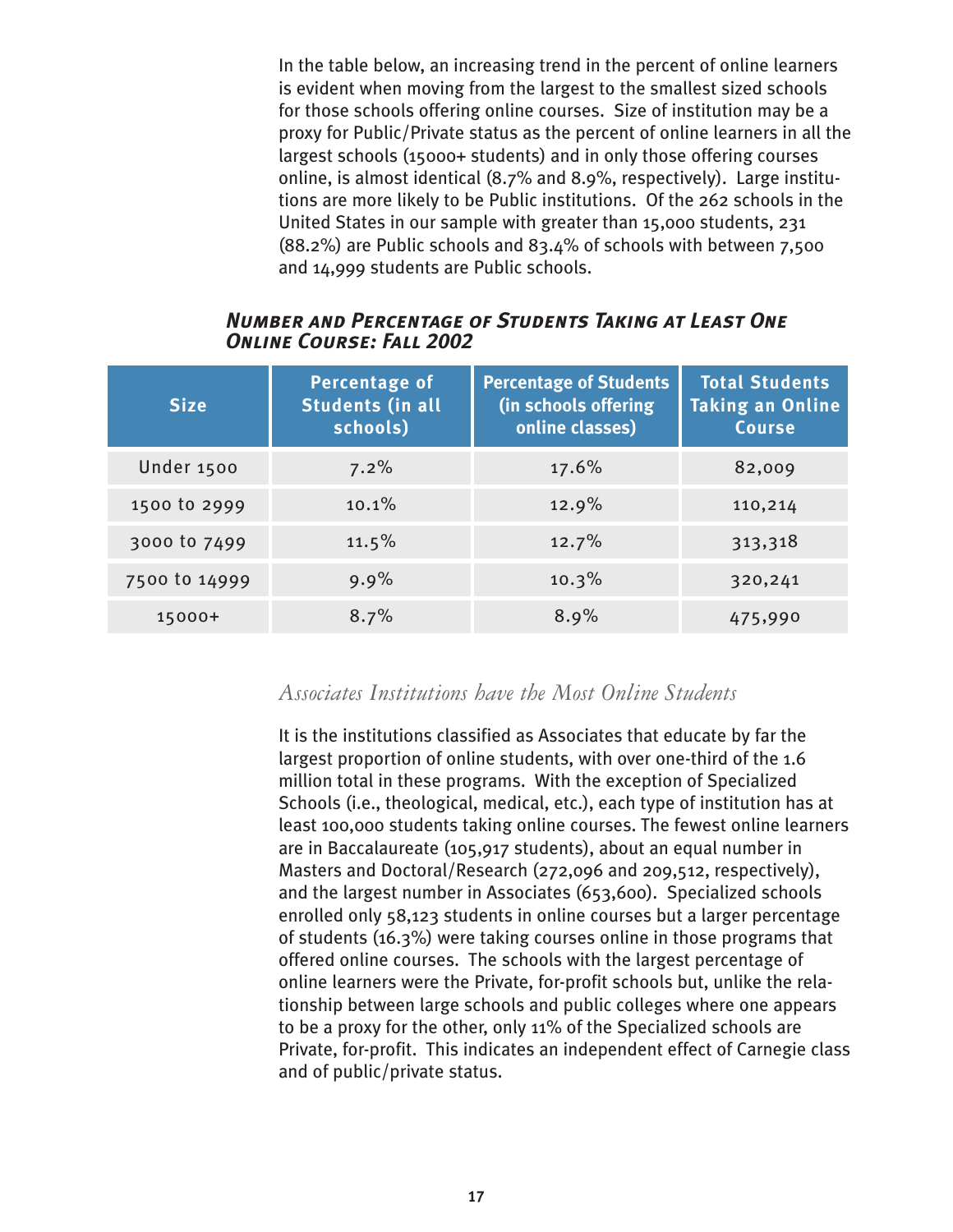<span id="page-20-0"></span>In the table below, an increasing trend in the percent of online learners is evident when moving from the largest to the smallest sized schools for those schools offering online courses. Size of institution may be a proxy for Public/Private status as the percent of online learners in all the largest schools (15000+ students) and in only those offering courses online, is almost identical (8.7% and 8.9%, respectively). Large institutions are more likely to be Public institutions. Of the 262 schools in the United States in our sample with greater than 15,000 students, 231 (88.2%) are Public schools and 83.4% of schools with between 7,500 and 14,999 students are Public schools.

#### *Number and Percentage of Students Taking at Least One Online Course: Fall 2002*

| <b>Size</b>   | Percentage of<br><b>Students (in all</b><br>schools) | <b>Percentage of Students</b><br>(in schools offering<br>online classes) | <b>Total Students</b><br><b>Taking an Online</b><br><b>Course</b> |
|---------------|------------------------------------------------------|--------------------------------------------------------------------------|-------------------------------------------------------------------|
| Under 1500    | 7.2%                                                 | 17.6%                                                                    | 82,009                                                            |
| 1500 to 2999  | 10.1%                                                | 12.9%                                                                    | 110,214                                                           |
| 3000 to 7499  | 11.5%                                                | 12.7%                                                                    | 313,318                                                           |
| 7500 to 14999 | $9.9\%$                                              | 10.3%                                                                    | 320,241                                                           |
| 15000+        | 8.7%                                                 | 8.9%                                                                     | 475,990                                                           |

## *Associates Institutions have the Most Online Students*

It is the institutions classified as Associates that educate by far the largest proportion of online students, with over one-third of the 1.6 million total in these programs. With the exception of Specialized Schools (i.e., theological, medical, etc.), each type of institution has at least 100,000 students taking online courses. The fewest online learners are in Baccalaureate (105,917 students), about an equal number in Masters and Doctoral/Research (272,096 and 209,512, respectively), and the largest number in Associates (653,600). Specialized schools enrolled only 58,123 students in online courses but a larger percentage of students (16.3%) were taking courses online in those programs that offered online courses. The schools with the largest percentage of online learners were the Private, for-profit schools but, unlike the relationship between large schools and public colleges where one appears to be a proxy for the other, only 11% of the Specialized schools are Private, for-profit. This indicates an independent effect of Carnegie class and of public/private status.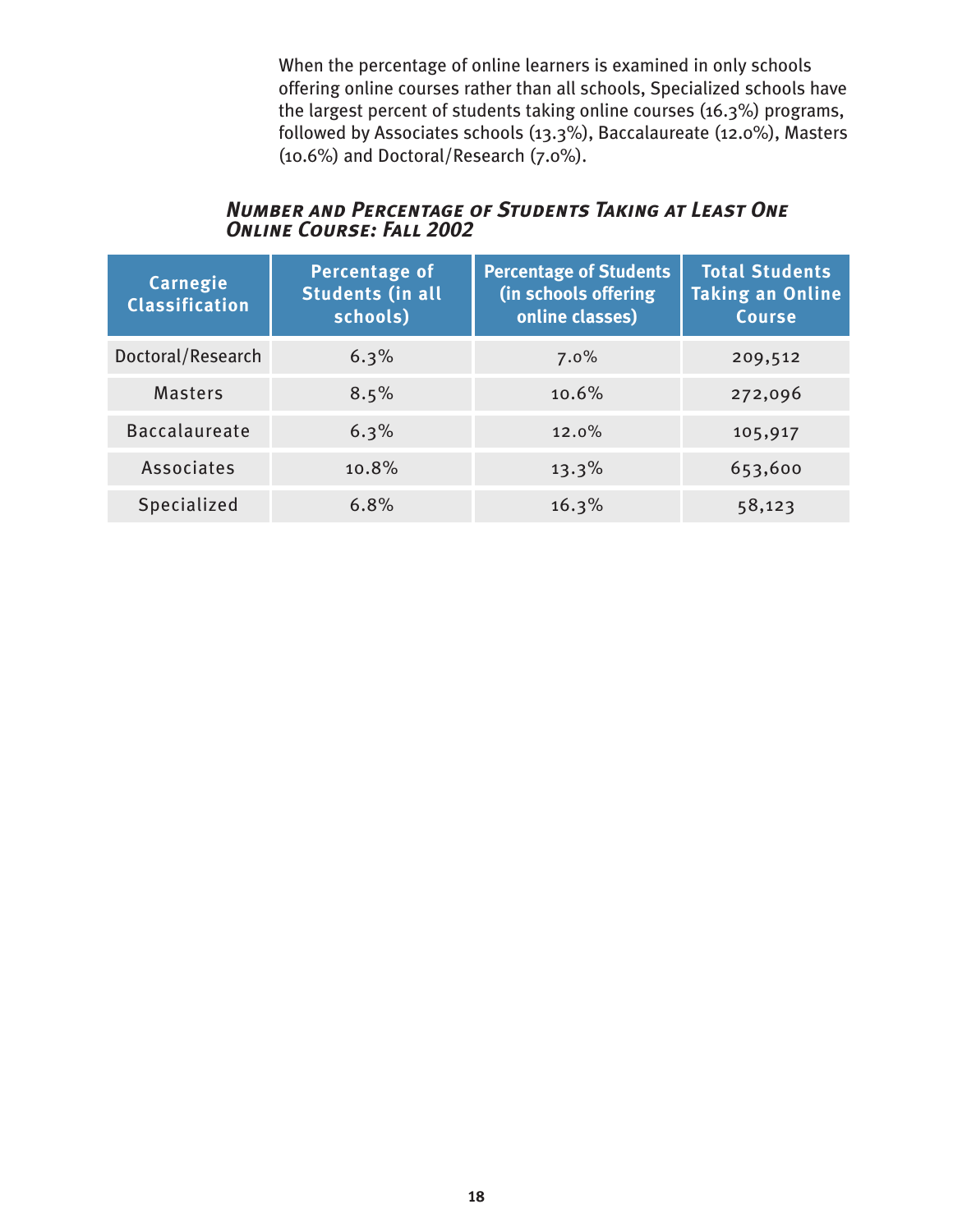When the percentage of online learners is examined in only schools offering online courses rather than all schools, Specialized schools have the largest percent of students taking online courses (16.3%) programs, followed by Associates schools (13.3%), Baccalaureate (12.0%), Masters (10.6%) and Doctoral/Research (7.0%).

## *Number and Percentage of Students Taking at Least One Online Course: Fall 2002*

| Carnegie<br><b>Classification</b> | <b>Percentage of</b><br><b>Students (in all</b><br>schools) | <b>Percentage of Students</b><br>(in schools offering<br>online classes) | <b>Total Students</b><br><b>Taking an Online</b><br><b>Course</b> |
|-----------------------------------|-------------------------------------------------------------|--------------------------------------------------------------------------|-------------------------------------------------------------------|
| Doctoral/Research                 | 6.3%                                                        | 7.0%                                                                     | 209,512                                                           |
| <b>Masters</b>                    | 8.5%                                                        | 10.6%                                                                    | 272,096                                                           |
| <b>Baccalaureate</b>              | 6.3%                                                        | 12.0%                                                                    | 105,917                                                           |
| Associates                        | 10.8%                                                       | $13.3\%$                                                                 | 653,600                                                           |
| <b>Specialized</b>                | 6.8%                                                        | 16.3%                                                                    | 58,123                                                            |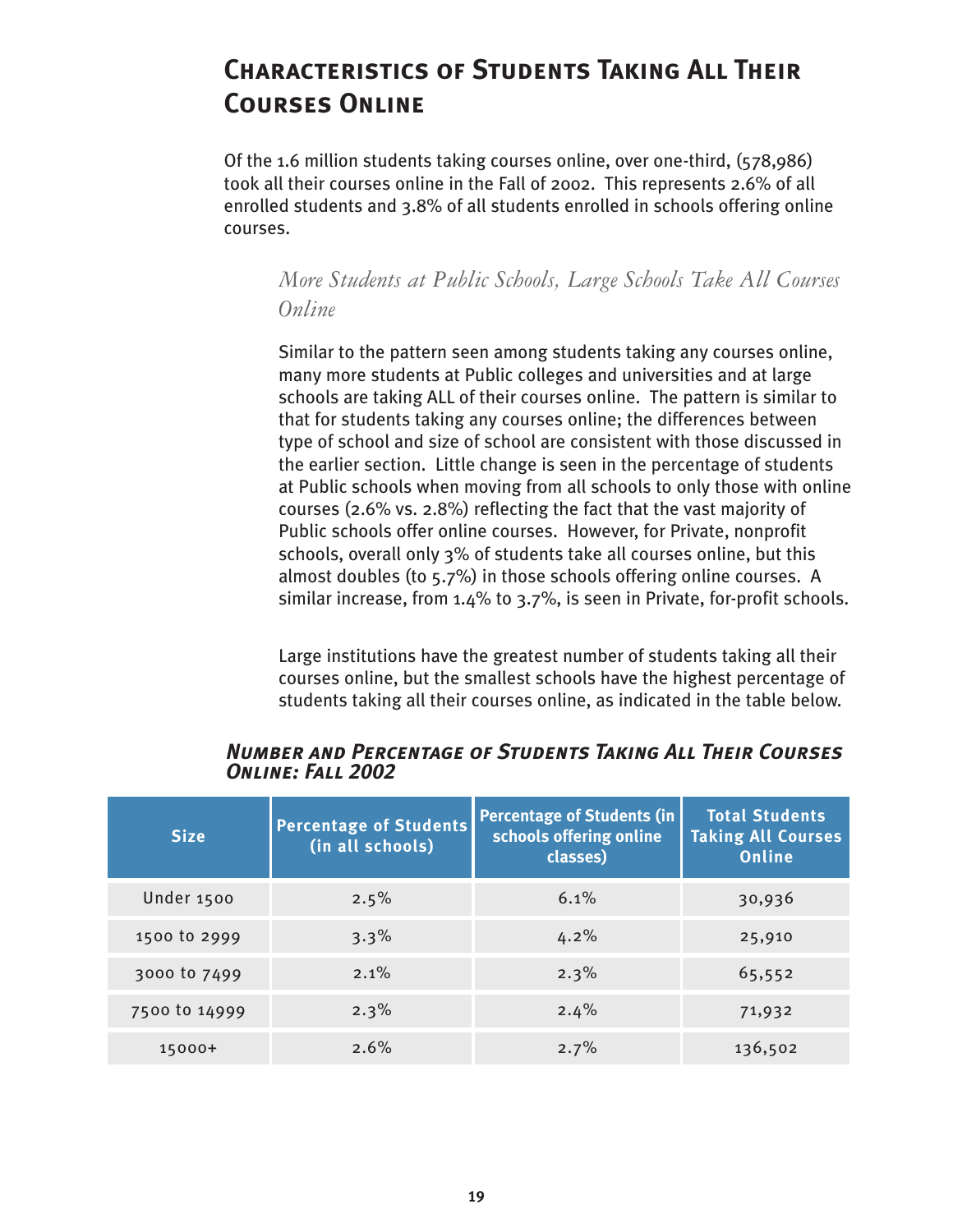# <span id="page-22-0"></span>**Characteristics of Students Taking All Their Courses Online**

Of the 1.6 million students taking courses online, over one-third, (578,986) took all their courses online in the Fall of 2002. This represents 2.6% of all enrolled students and 3.8% of all students enrolled in schools offering online courses.

*More Students at Public Schools, Large Schools Take All Courses Online* 

Similar to the pattern seen among students taking any courses online, many more students at Public colleges and universities and at large schools are taking ALL of their courses online. The pattern is similar to that for students taking any courses online; the differences between type of school and size of school are consistent with those discussed in the earlier section. Little change is seen in the percentage of students at Public schools when moving from all schools to only those with online courses (2.6% vs. 2.8%) reflecting the fact that the vast majority of Public schools offer online courses. However, for Private, nonprofit schools, overall only 3% of students take all courses online, but this almost doubles (to 5.7%) in those schools offering online courses. A similar increase, from 1.4% to 3.7%, is seen in Private, for-profit schools.

Large institutions have the greatest number of students taking all their courses online, but the smallest schools have the highest percentage of students taking all their courses online, as indicated in the table below.

| <b>Size</b>   | <b>Percentage of Students</b><br>(in all schools) | <b>Percentage of Students (in)</b><br>schools offering online<br>classes) | <b>Total Students</b><br><b>Taking All Courses</b><br><b>Online</b> |
|---------------|---------------------------------------------------|---------------------------------------------------------------------------|---------------------------------------------------------------------|
| Under 1500    | 2.5%                                              | 6.1%                                                                      | 30,936                                                              |
| 1500 to 2999  | 3.3%                                              | 4.2%                                                                      | 25,910                                                              |
| 3000 to 7499  | $2.1\%$                                           | 2.3%                                                                      | 65,552                                                              |
| 7500 to 14999 | 2.3%                                              | 2.4%                                                                      | 71,932                                                              |
| 15000+        | 2.6%                                              | 2.7%                                                                      | 136,502                                                             |

*Number and Percentage of Students Taking All Their Courses Online: Fall 2002*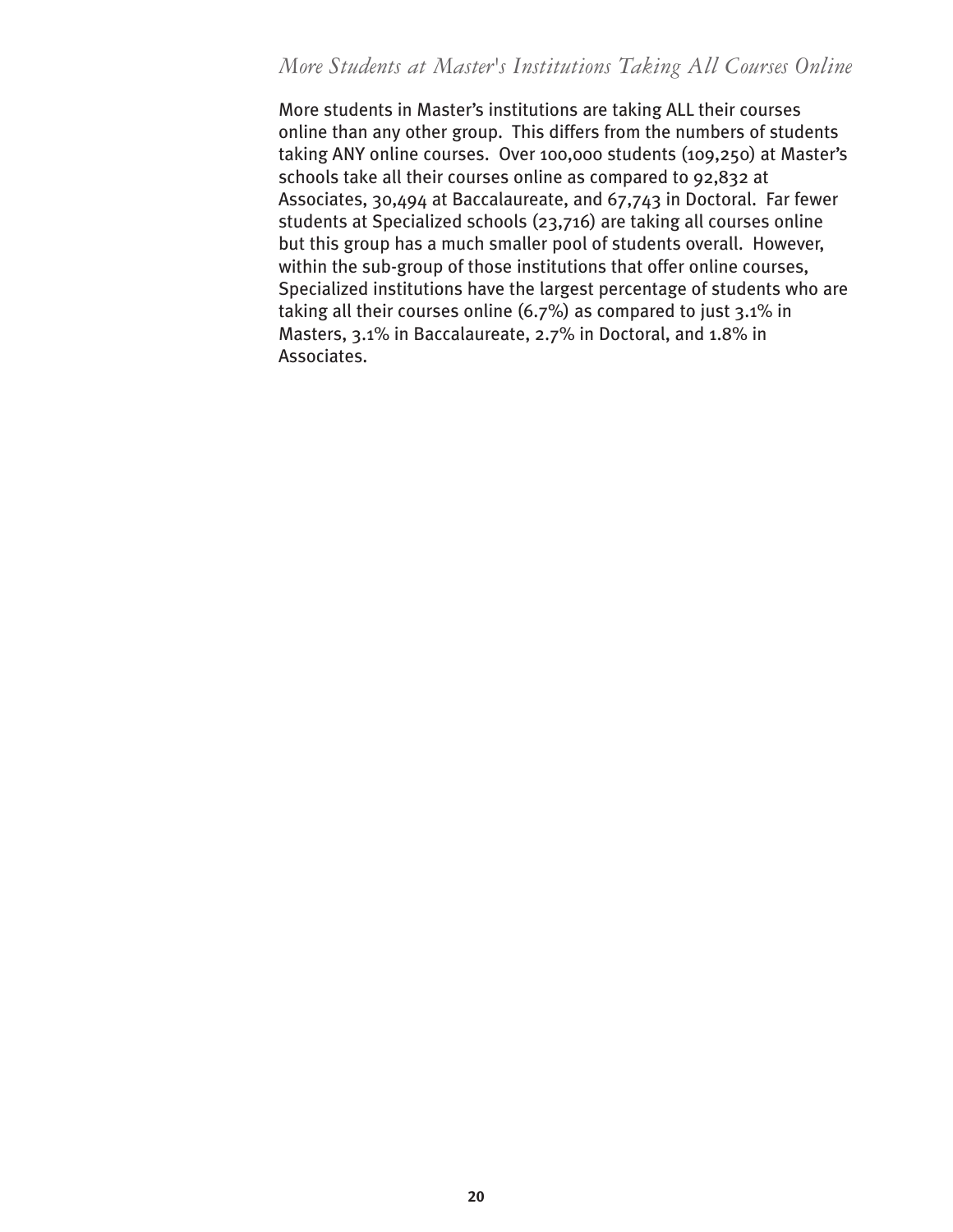## <span id="page-23-0"></span>*More Students at Master's Institutions Taking All Courses Online*

More students in Master's institutions are taking ALL their courses online than any other group. This differs from the numbers of students taking ANY online courses. Over 100,000 students (109,250) at Master's schools take all their courses online as compared to 92,832 at Associates, 30,494 at Baccalaureate, and 67,743 in Doctoral. Far fewer students at Specialized schools (23,716) are taking all courses online but this group has a much smaller pool of students overall. However, within the sub-group of those institutions that offer online courses, Specialized institutions have the largest percentage of students who are taking all their courses online (6.7%) as compared to just 3.1% in Masters, 3.1% in Baccalaureate, 2.7% in Doctoral, and 1.8% in Associates.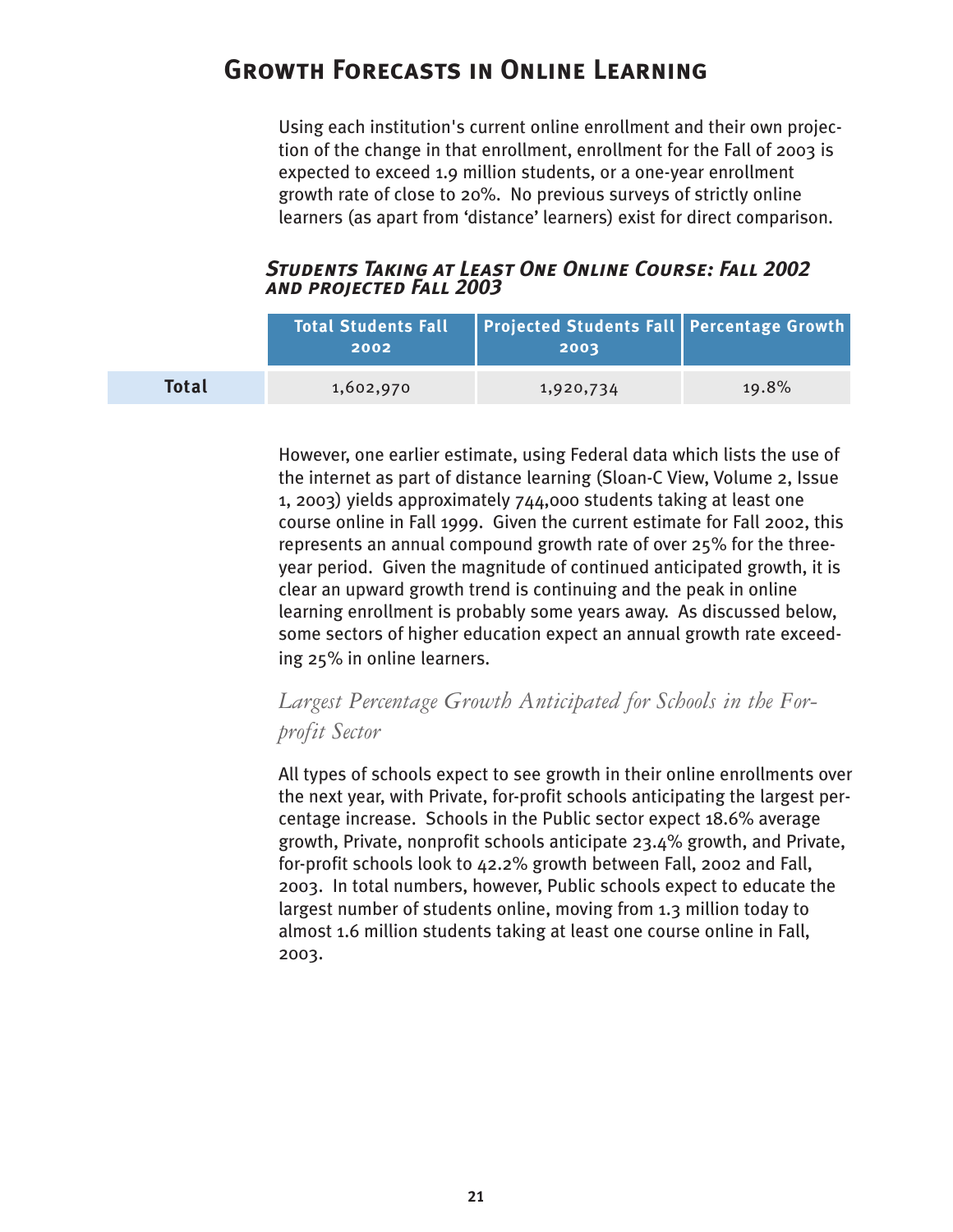# <span id="page-24-0"></span>**Growth Forecasts in Online Learning**

Using each institution's current online enrollment and their own projection of the change in that enrollment, enrollment for the Fall of 2003 is expected to exceed 1.9 million students, or a one-year enrollment growth rate of close to 20%. No previous surveys of strictly online learners (as apart from 'distance' learners) exist for direct comparison.

#### *Students Taking at Least One Online Course: Fall 2002 and projected Fall 2003*

|              | <b>Total Students Fall</b><br>2002 | Projected Students Fall Percentage Growth<br>2003 |       |
|--------------|------------------------------------|---------------------------------------------------|-------|
| <b>Total</b> | 1,602,970                          | 1,920,734                                         | 19.8% |

However, one earlier estimate, using Federal data which lists the use of the internet as part of distance learning (Sloan-C View, Volume 2, Issue 1, 2003) yields approximately 744,000 students taking at least one course online in Fall 1999. Given the current estimate for Fall 2002, this represents an annual compound growth rate of over 25% for the threeyear period. Given the magnitude of continued anticipated growth, it is clear an upward growth trend is continuing and the peak in online learning enrollment is probably some years away. As discussed below, some sectors of higher education expect an annual growth rate exceeding 25% in online learners.

## *Largest Percentage Growth Anticipated for Schools in the Forprofit Sector*

All types of schools expect to see growth in their online enrollments over the next year, with Private, for-profit schools anticipating the largest percentage increase. Schools in the Public sector expect 18.6% average growth, Private, nonprofit schools anticipate 23.4% growth, and Private, for-profit schools look to 42.2% growth between Fall, 2002 and Fall, 2003. In total numbers, however, Public schools expect to educate the largest number of students online, moving from 1.3 million today to almost 1.6 million students taking at least one course online in Fall, 2003.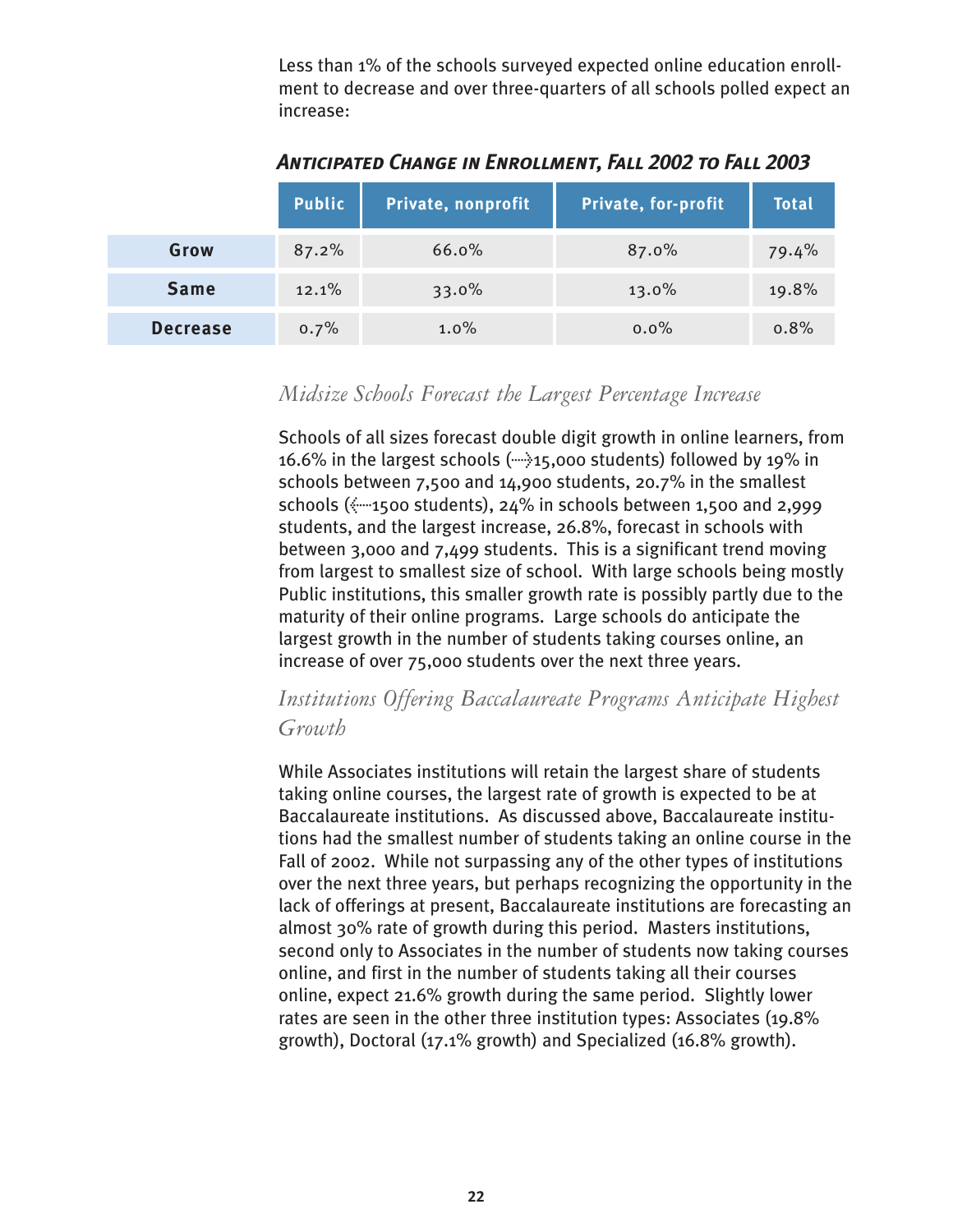Less than 1% of the schools surveyed expected online education enrollment to decrease and over three-quarters of all schools polled expect an increase:

<span id="page-25-0"></span>

|                 | <b>Public</b> | Private, nonprofit | Private, for-profit | <b>Total</b> |
|-----------------|---------------|--------------------|---------------------|--------------|
| Grow            | 87.2%         | 66.0%              | 87.0%               | 79.4%        |
| <b>Same</b>     | 12.1%         | 33.0%              | 13.0%               | 19.8%        |
| <b>Decrease</b> | 0.7%          | $1.0\%$            | $0.0\%$             | 0.8%         |

*Anticipated Change in Enrollment, Fall 2002 to Fall 2003*

## *Midsize Schools Forecast the Largest Percentage Increase*

Schools of all sizes forecast double digit growth in online learners, from 16.6% in the largest schools  $(\cdots)$ 15,000 students) followed by 19% in schools between 7,500 and 14,900 students, 20.7% in the smallest schools  $(*-1500$  students), 24% in schools between 1,500 and 2,999 students, and the largest increase, 26.8%, forecast in schools with between 3,000 and 7,499 students. This is a significant trend moving from largest to smallest size of school. With large schools being mostly Public institutions, this smaller growth rate is possibly partly due to the maturity of their online programs. Large schools do anticipate the largest growth in the number of students taking courses online, an increase of over 75,000 students over the next three years.

## *Institutions Offering Baccalaureate Programs Anticipate Highest Growth*

While Associates institutions will retain the largest share of students taking online courses, the largest rate of growth is expected to be at Baccalaureate institutions. As discussed above, Baccalaureate institutions had the smallest number of students taking an online course in the Fall of 2002. While not surpassing any of the other types of institutions over the next three years, but perhaps recognizing the opportunity in the lack of offerings at present, Baccalaureate institutions are forecasting an almost 30% rate of growth during this period. Masters institutions, second only to Associates in the number of students now taking courses online, and first in the number of students taking all their courses online, expect 21.6% growth during the same period. Slightly lower rates are seen in the other three institution types: Associates (19.8% growth), Doctoral (17.1% growth) and Specialized (16.8% growth).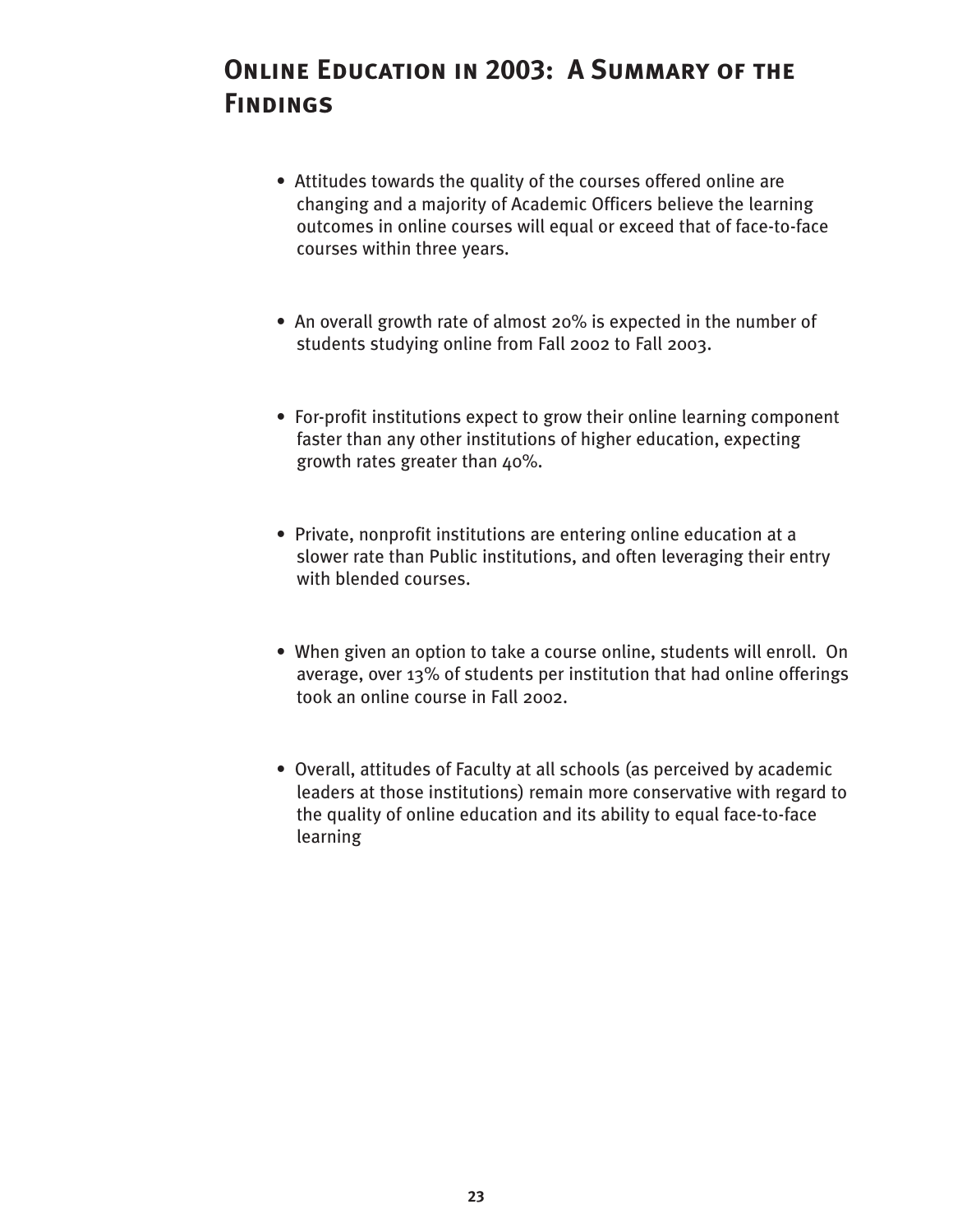# <span id="page-26-0"></span>**Online Education in 2003: A Summary of the Findings**

- Attitudes towards the quality of the courses offered online are changing and a majority of Academic Officers believe the learning outcomes in online courses will equal or exceed that of face-to-face courses within three years.
- An overall growth rate of almost 20% is expected in the number of students studying online from Fall 2002 to Fall 2003.
- For-profit institutions expect to grow their online learning component faster than any other institutions of higher education, expecting growth rates greater than 40%.
- Private, nonprofit institutions are entering online education at a slower rate than Public institutions, and often leveraging their entry with blended courses.
- When given an option to take a course online, students will enroll. On average, over 13% of students per institution that had online offerings took an online course in Fall 2002.
- Overall, attitudes of Faculty at all schools (as perceived by academic leaders at those institutions) remain more conservative with regard to the quality of online education and its ability to equal face-to-face learning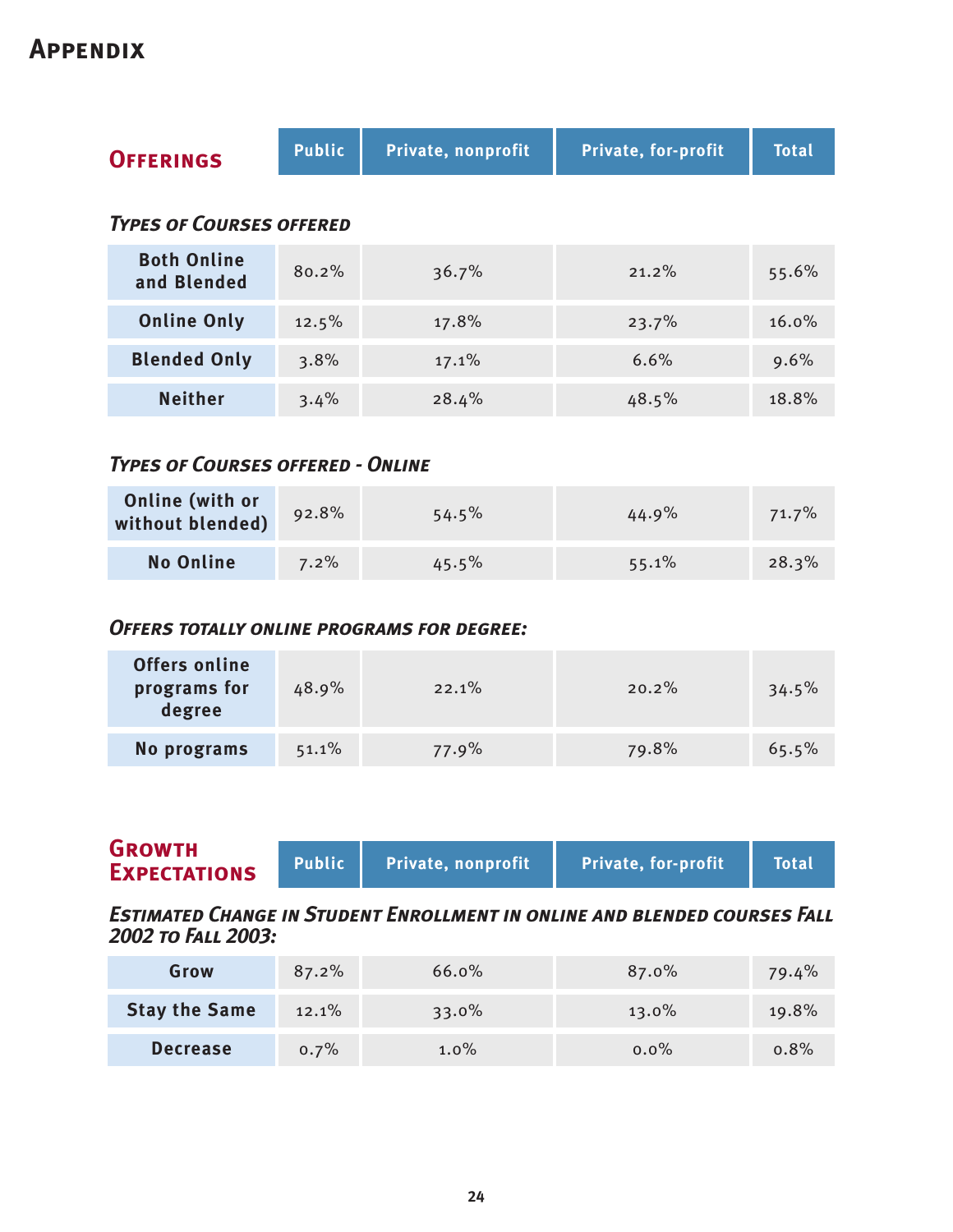## <span id="page-27-0"></span>**Appendix**

| <b>OFFERINGS</b>                  | <b>Public</b> | Private, nonprofit | <b>Private, for-profit</b> | <b>Total</b> |
|-----------------------------------|---------------|--------------------|----------------------------|--------------|
| <b>TYPES OF COURSES OFFERED</b>   |               |                    |                            |              |
| <b>Both Online</b><br>and Blended | 80.2%         | 36.7%              | 21.2%                      | 55.6%        |
| <b>Online Only</b>                | 12.5%         | 17.8%              | 23.7%                      | $16.0\%$     |
| <b>Blended Only</b>               | 3.8%          | 17.1%              | 6.6%                       | 9.6%         |
| <b>Neither</b>                    | 3.4%          | 28.4%              | 48.5%                      | 18.8%        |

## *Types of Courses offered - Online*

| <b>Online (with or</b><br>without blended) | 92.8%   | 54.5% | $44.9\%$ | 71.7% |
|--------------------------------------------|---------|-------|----------|-------|
| <b>No Online</b>                           | $7.2\%$ | 45.5% | 55.1%    | 28.3% |

## *Offers totally online programs for degree:*

| <b>Offers online</b><br>programs for<br>degree | 48.9% | 22.1% | 20.2% | 34.5% |
|------------------------------------------------|-------|-------|-------|-------|
| No programs                                    | 51.1% | 77.9% | 79.8% | 65.5% |

| <b>GROWTH</b><br><b>EXPECTATIONS</b> | Public N | Private, nonprofit | <b>Private, for-profit</b> | <b>Total</b> |
|--------------------------------------|----------|--------------------|----------------------------|--------------|
|                                      |          |                    |                            |              |

*Estimated Change in Student Enrollment in online and blended courses Fall 2002 to Fall 2003:*

| Grow                 | 87.2% | 66.0%   | 87.0%   | 79.4% |
|----------------------|-------|---------|---------|-------|
| <b>Stay the Same</b> | 12.1% | 33.0%   | 13.0%   | 19.8% |
| <b>Decrease</b>      | 0.7%  | $1.0\%$ | $0.0\%$ | 0.8%  |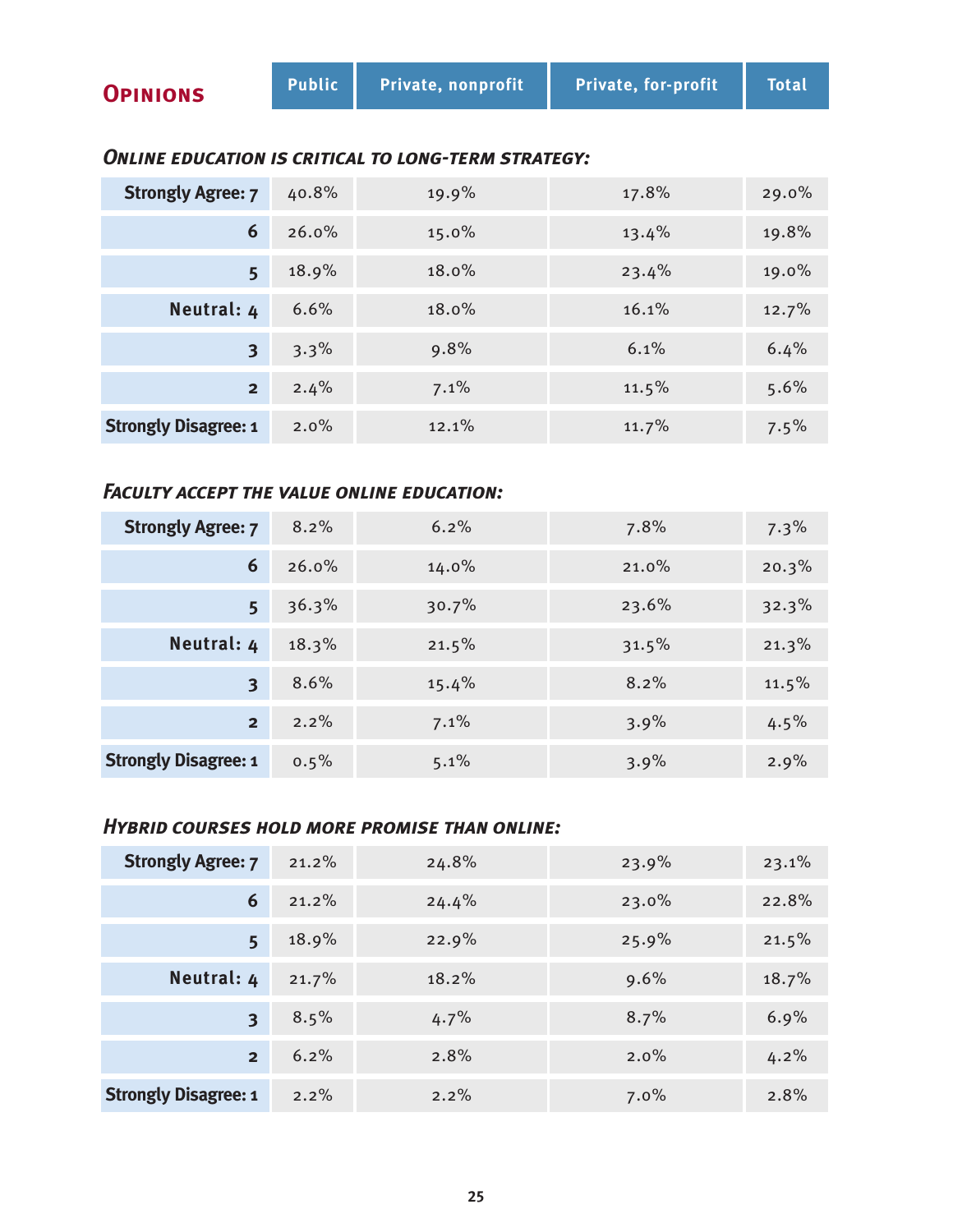#### *Online education is critical to long-term strategy:*

| <b>Strongly Agree: 7</b>    | 40.8% | 19.9% | 17.8% | 29.0%   |
|-----------------------------|-------|-------|-------|---------|
| 6                           | 26.0% | 15.0% | 13.4% | 19.8%   |
| 5                           | 18.9% | 18.0% | 23.4% | 19.0%   |
| Neutral: 4                  | 6.6%  | 18.0% | 16.1% | 12.7%   |
| 3                           | 3.3%  | 9.8%  | 6.1%  | 6.4%    |
| 2 <sup>1</sup>              | 2.4%  | 7.1%  | 11.5% | 5.6%    |
| <b>Strongly Disagree: 1</b> | 2.0%  | 12.1% | 11.7% | $7.5\%$ |

## *Faculty accept the value online education:*

| <b>Strongly Agree: 7</b>    | 8.2%    | 6.2%     | 7.8%  | $7.3\%$ |
|-----------------------------|---------|----------|-------|---------|
| 6                           | 26.0%   | $14.0\%$ | 21.0% | 20.3%   |
| 5 <sup>1</sup>              | 36.3%   | 30.7%    | 23.6% | 32.3%   |
| Neutral: 4                  | 18.3%   | 21.5%    | 31.5% | 21.3%   |
| $\overline{\mathbf{3}}$     | 8.6%    | 15.4%    | 8.2%  | 11.5%   |
| $2^{\frac{1}{2}}$           | 2.2%    | 7.1%     | 3.9%  | $4.5\%$ |
| <b>Strongly Disagree: 1</b> | $0.5\%$ | 5.1%     | 3.9%  | 2.9%    |

## *Hybrid courses hold more promise than online:*

| <b>Strongly Agree: 7</b>    | 21.2% | 24.8% | 23.9% | 23.1% |
|-----------------------------|-------|-------|-------|-------|
| 6                           | 21.2% | 24.4% | 23.0% | 22.8% |
| 5                           | 18.9% | 22.9% | 25.9% | 21.5% |
| Neutral: 4                  | 21.7% | 18.2% | 9.6%  | 18.7% |
| $\overline{\mathbf{3}}$     | 8.5%  | 4.7%  | 8.7%  | 6.9%  |
| 2 <sup>1</sup>              | 6.2%  | 2.8%  | 2.0%  | 4.2%  |
| <b>Strongly Disagree: 1</b> | 2.2%  | 2.2%  | 7.0%  | 2.8%  |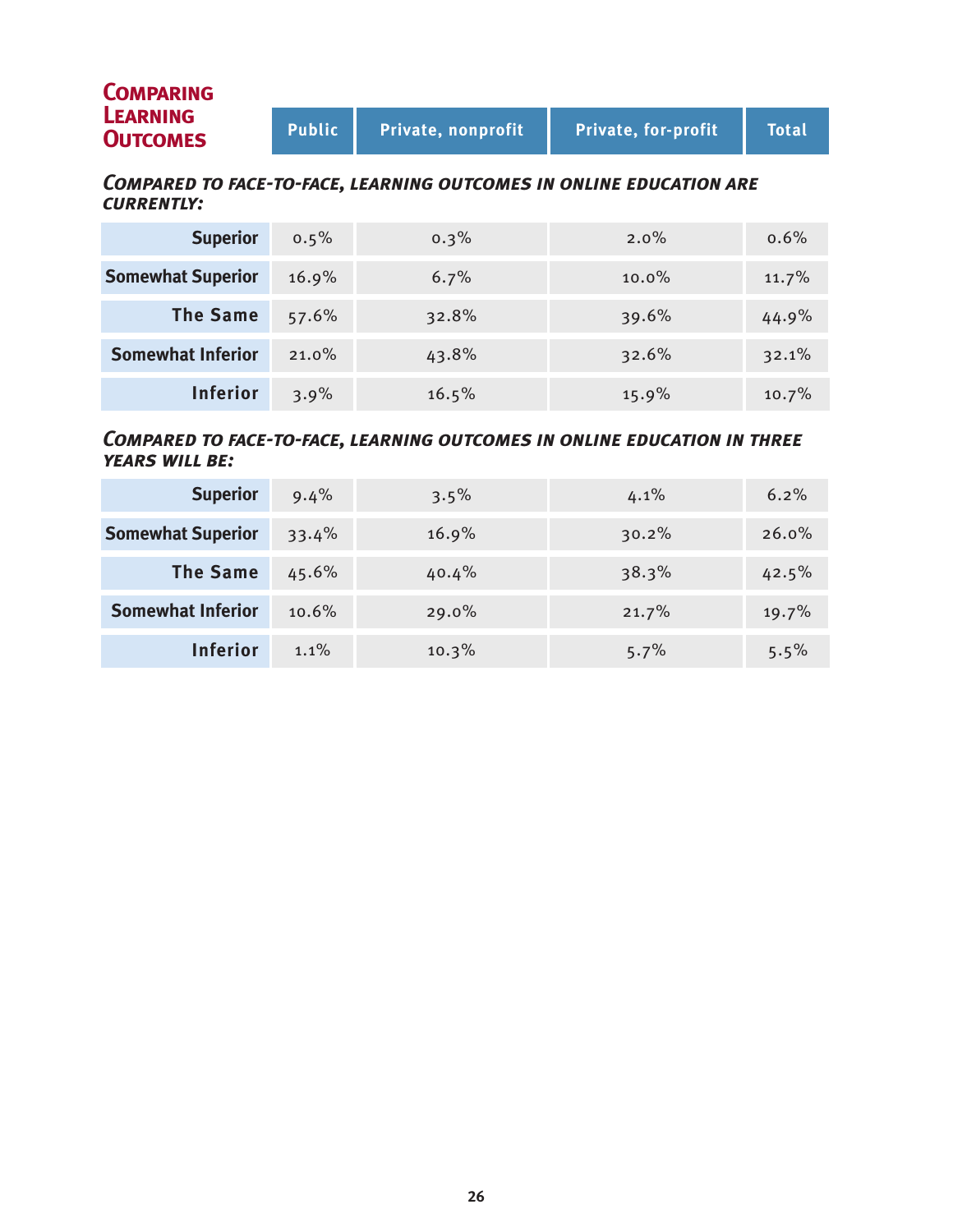| <b>COMPARING</b>                   |        |                    |                            |              |
|------------------------------------|--------|--------------------|----------------------------|--------------|
| <b>LEARNING</b><br><b>OUTCOMES</b> | Public | Private, nonprofit | <b>Private, for-profit</b> | <b>Total</b> |

#### *Compared to face-to-face, learning outcomes in online education are currently:*

| <b>Superior</b>          | 0.5%     | 0.3%  | $2.0\%$  | $0.6\%$ |
|--------------------------|----------|-------|----------|---------|
| <b>Somewhat Superior</b> | 16.9%    | 6.7%  | $10.0\%$ | 11.7%   |
| <b>The Same</b>          | 57.6%    | 32.8% | 39.6%    | 44.9%   |
| <b>Somewhat Inferior</b> | $21.0\%$ | 43.8% | 32.6%    | 32.1%   |
| <b>Inferior</b>          | 3.9%     | 16.5% | 15.9%    | 10.7%   |

#### *Compared to face-to-face, learning outcomes in online education in three years will be:*

| <b>Superior</b>          | 9.4%    | $3.5\%$ | 4.1%  | 6.2%    |
|--------------------------|---------|---------|-------|---------|
| <b>Somewhat Superior</b> | 33.4%   | 16.9%   | 30.2% | 26.0%   |
| <b>The Same</b>          | 45.6%   | 40.4%   | 38.3% | 42.5%   |
| <b>Somewhat Inferior</b> | 10.6%   | 29.0%   | 21.7% | 19.7%   |
| <b>Inferior</b>          | $1.1\%$ | 10.3%   | 5.7%  | $5.5\%$ |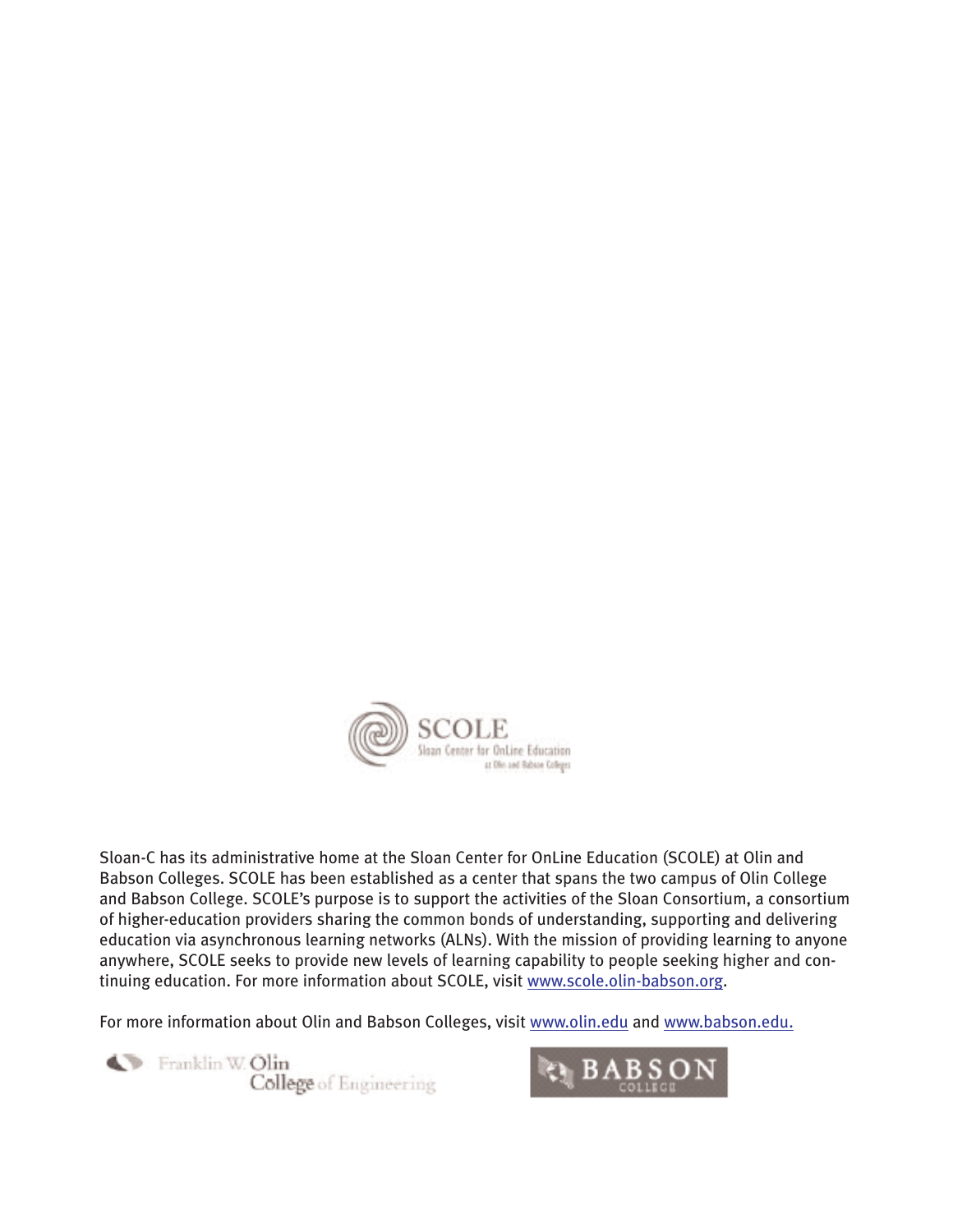

Sloan-C has its administrative home at the Sloan Center for OnLine Education (SCOLE) at Olin and Babson Colleges. SCOLE has been established as a center that spans the two campus of Olin College and Babson College. SCOLE's purpose is to support the activities of the Sloan Consortium, a consortium of higher-education providers sharing the common bonds of understanding, supporting and delivering education via asynchronous learning networks (ALNs). With the mission of providing learning to anyone anywhere, SCOLE seeks to provide new levels of learning capability to people seeking higher and continuing education. For more information about SCOLE, visit www.scole.olin-babson.org.

For more information about Olin and Babson Colleges, visit www.olin.edu and www.babson.edu.